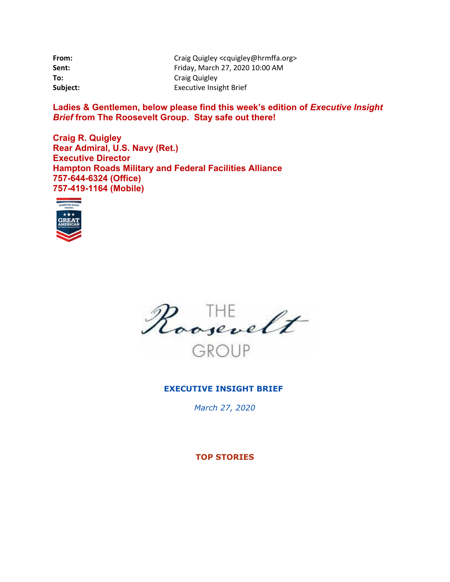| From:    | Craig Quigley <cquigley@hrmffa.org></cquigley@hrmffa.org> |
|----------|-----------------------------------------------------------|
| Sent:    | Friday, March 27, 2020 10:00 AM                           |
| To:      | Craig Quigley                                             |
| Subject: | <b>Executive Insight Brief</b>                            |

Ladies & Gentlemen, below please find this week's edition of *Executive Insight Brief* **from The Roosevelt Group. Stay safe out there!** 

**Craig R. Quigley Rear Admiral, U.S. Navy (Ret.) Executive Director Hampton Roads Military and Federal Facilities Alliance 757-644-6324 (Office) 757-419-1164 (Mobile)** 





# **EXECUTIVE INSIGHT BRIEF**

*March 27, 2020*

**TOP STORIES**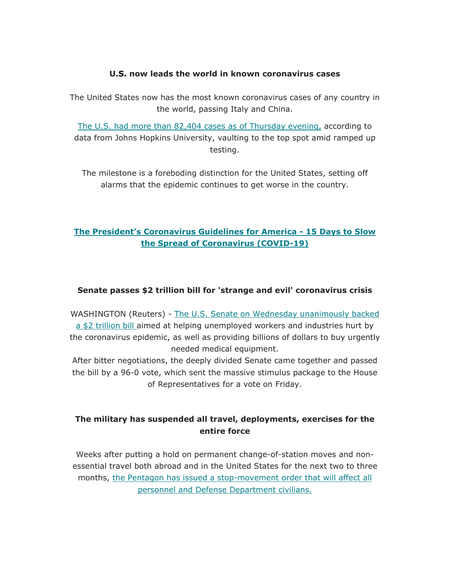## **U.S. now leads the world in known coronavirus cases**

The United States now has the most known coronavirus cases of any country in the world, passing Italy and China.

The U.S. had more than 82,404 cases as of Thursday evening, according to data from Johns Hopkins University, vaulting to the top spot amid ramped up testing.

The milestone is a foreboding distinction for the United States, setting off alarms that the epidemic continues to get worse in the country.

# **The President's Coronavirus Guidelines for America - 15 Days to Slow the Spread of Coronavirus (COVID-19)**

# **Senate passes \$2 trillion bill for 'strange and evil' coronavirus crisis**

WASHINGTON (Reuters) - The U.S. Senate on Wednesday unanimously backed a \$2 trillion bill aimed at helping unemployed workers and industries hurt by the coronavirus epidemic, as well as providing billions of dollars to buy urgently needed medical equipment.

After bitter negotiations, the deeply divided Senate came together and passed the bill by a 96-0 vote, which sent the massive stimulus package to the House of Representatives for a vote on Friday.

# **The military has suspended all travel, deployments, exercises for the entire force**

Weeks after putting a hold on permanent change-of-station moves and nonessential travel both abroad and in the United States for the next two to three months, the Pentagon has issued a stop-movement order that will affect all personnel and Defense Department civilians.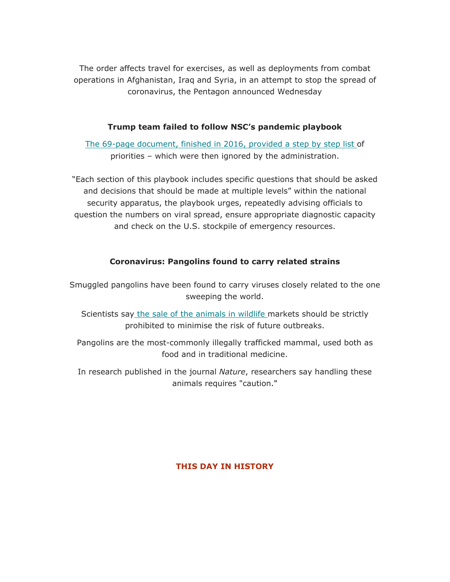The order affects travel for exercises, as well as deployments from combat operations in Afghanistan, Iraq and Syria, in an attempt to stop the spread of coronavirus, the Pentagon announced Wednesday

### **Trump team failed to follow NSC's pandemic playbook**

The 69-page document, finished in 2016, provided a step by step list of priorities – which were then ignored by the administration.

"Each section of this playbook includes specific questions that should be asked and decisions that should be made at multiple levels" within the national security apparatus, the playbook urges, repeatedly advising officials to question the numbers on viral spread, ensure appropriate diagnostic capacity and check on the U.S. stockpile of emergency resources.

# **Coronavirus: Pangolins found to carry related strains**

Smuggled pangolins have been found to carry viruses closely related to the one sweeping the world.

Scientists say the sale of the animals in wildlife markets should be strictly prohibited to minimise the risk of future outbreaks.

Pangolins are the most-commonly illegally trafficked mammal, used both as food and in traditional medicine.

In research published in the journal *Nature*, researchers say handling these animals requires "caution."

#### **THIS DAY IN HISTORY**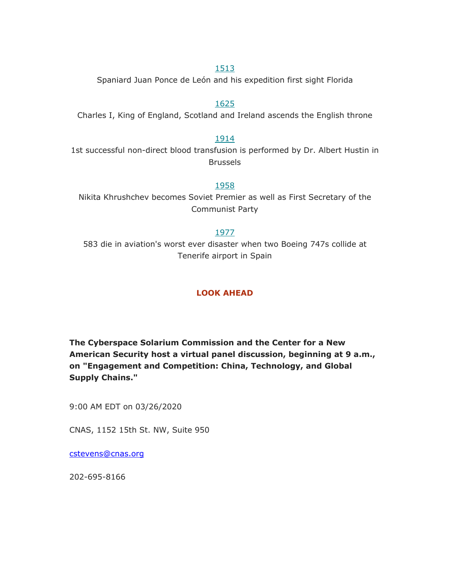### 1513

Spaniard Juan Ponce de León and his expedition first sight Florida

#### 1625

Charles I, King of England, Scotland and Ireland ascends the English throne

#### 1914

1st successful non-direct blood transfusion is performed by Dr. Albert Hustin in Brussels

#### 1958

Nikita Khrushchev becomes Soviet Premier as well as First Secretary of the Communist Party

#### 1977

583 die in aviation's worst ever disaster when two Boeing 747s collide at Tenerife airport in Spain

# **LOOK AHEAD**

**The Cyberspace Solarium Commission and the Center for a New American Security host a virtual panel discussion, beginning at 9 a.m., on "Engagement and Competition: China, Technology, and Global Supply Chains."**

9:00 AM EDT on 03/26/2020

CNAS, 1152 15th St. NW, Suite 950

cstevens@cnas.org

202-695-8166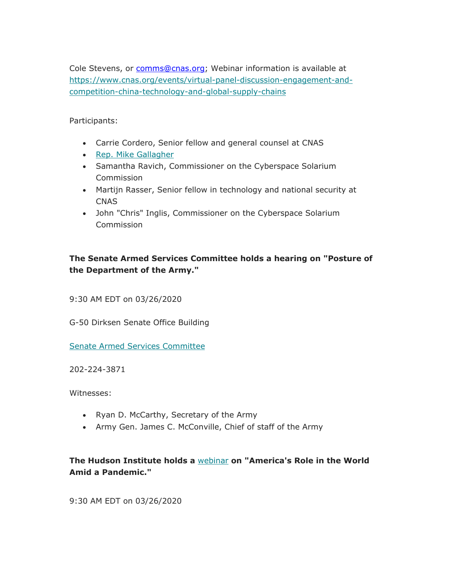Cole Stevens, or comms@cnas.org; Webinar information is available at https://www.cnas.org/events/virtual-panel-discussion-engagement-andcompetition-china-technology-and-global-supply-chains

Participants:

- Carrie Cordero, Senior fellow and general counsel at CNAS
- Rep. Mike Gallagher
- Samantha Ravich, Commissioner on the Cyberspace Solarium Commission
- Martijn Rasser, Senior fellow in technology and national security at CNAS
- John "Chris" Inglis, Commissioner on the Cyberspace Solarium Commission

# **The Senate Armed Services Committee holds a hearing on "Posture of the Department of the Army."**

9:30 AM EDT on 03/26/2020

G-50 Dirksen Senate Office Building

Senate Armed Services Committee

202-224-3871

Witnesses:

- Ryan D. McCarthy, Secretary of the Army
- Army Gen. James C. McConville, Chief of staff of the Army

# **The Hudson Institute holds a** webinar **on "America's Role in the World Amid a Pandemic."**

9:30 AM EDT on 03/26/2020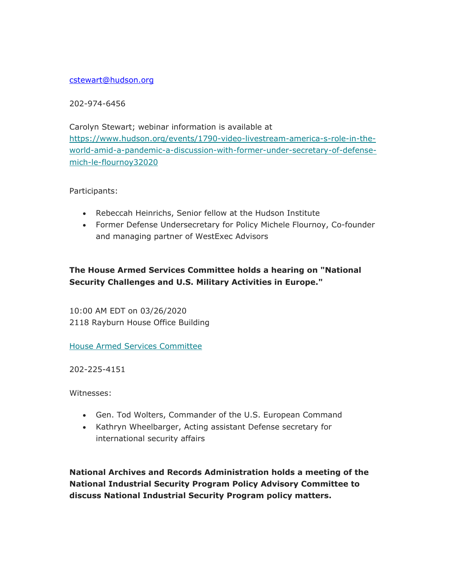#### cstewart@hudson.org

202-974-6456

Carolyn Stewart; webinar information is available at https://www.hudson.org/events/1790-video-livestream-america-s-role-in-theworld-amid-a-pandemic-a-discussion-with-former-under-secretary-of-defensemich-le-flournoy32020

Participants:

- Rebeccah Heinrichs, Senior fellow at the Hudson Institute
- Former Defense Undersecretary for Policy Michele Flournoy, Co-founder and managing partner of WestExec Advisors

# **The House Armed Services Committee holds a hearing on "National Security Challenges and U.S. Military Activities in Europe."**

10:00 AM EDT on 03/26/2020 2118 Rayburn House Office Building

House Armed Services Committee

202-225-4151

Witnesses:

- Gen. Tod Wolters, Commander of the U.S. European Command
- Kathryn Wheelbarger, Acting assistant Defense secretary for international security affairs

**National Archives and Records Administration holds a meeting of the National Industrial Security Program Policy Advisory Committee to discuss National Industrial Security Program policy matters.**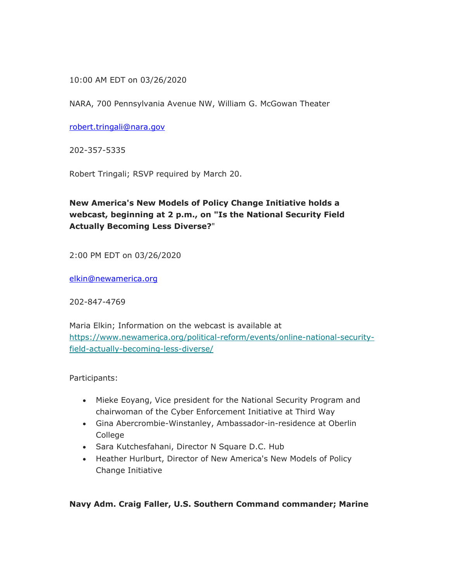### 10:00 AM EDT on 03/26/2020

NARA, 700 Pennsylvania Avenue NW, William G. McGowan Theater

robert.tringali@nara.gov

202-357-5335

Robert Tringali; RSVP required by March 20.

# **New America's New Models of Policy Change Initiative holds a webcast, beginning at 2 p.m., on "Is the National Security Field Actually Becoming Less Diverse?**"

2:00 PM EDT on 03/26/2020

elkin@newamerica.org

202-847-4769

Maria Elkin; Information on the webcast is available at https://www.newamerica.org/political-reform/events/online-national-securityfield-actually-becoming-less-diverse/

Participants:

- Mieke Eoyang, Vice president for the National Security Program and chairwoman of the Cyber Enforcement Initiative at Third Way
- Gina Abercrombie-Winstanley, Ambassador-in-residence at Oberlin College
- Sara Kutchesfahani, Director N Square D.C. Hub
- Heather Hurlburt, Director of New America's New Models of Policy Change Initiative

#### **Navy Adm. Craig Faller, U.S. Southern Command commander; Marine**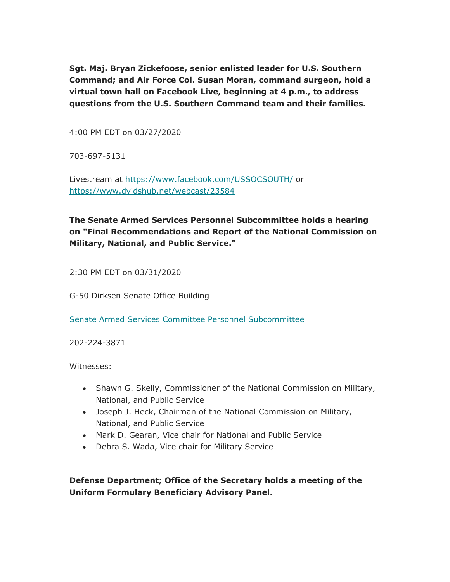**Sgt. Maj. Bryan Zickefoose, senior enlisted leader for U.S. Southern Command; and Air Force Col. Susan Moran, command surgeon, hold a virtual town hall on Facebook Live, beginning at 4 p.m., to address questions from the U.S. Southern Command team and their families.**

4:00 PM EDT on 03/27/2020

703-697-5131

Livestream at https://www.facebook.com/USSOCSOUTH/ or https://www.dvidshub.net/webcast/23584

**The Senate Armed Services Personnel Subcommittee holds a hearing on "Final Recommendations and Report of the National Commission on Military, National, and Public Service."**

2:30 PM EDT on 03/31/2020

G-50 Dirksen Senate Office Building

Senate Armed Services Committee Personnel Subcommittee

202-224-3871

Witnesses:

- Shawn G. Skelly, Commissioner of the National Commission on Military, National, and Public Service
- Joseph J. Heck, Chairman of the National Commission on Military, National, and Public Service
- Mark D. Gearan, Vice chair for National and Public Service
- Debra S. Wada, Vice chair for Military Service

**Defense Department; Office of the Secretary holds a meeting of the Uniform Formulary Beneficiary Advisory Panel.**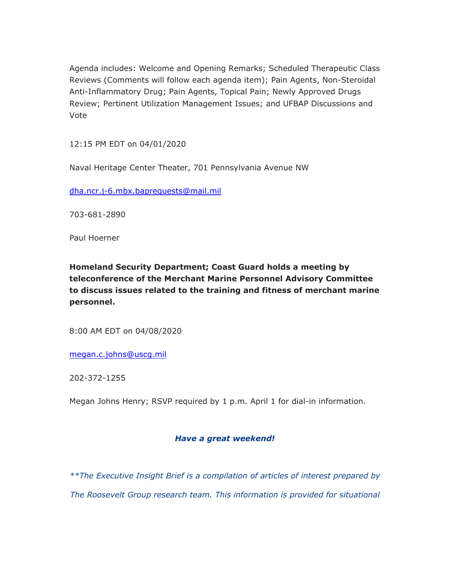Agenda includes: Welcome and Opening Remarks; Scheduled Therapeutic Class Reviews (Comments will follow each agenda item); Pain Agents, Non-Steroidal Anti-Inflammatory Drug; Pain Agents, Topical Pain; Newly Approved Drugs Review; Pertinent Utilization Management Issues; and UFBAP Discussions and Vote

12:15 PM EDT on 04/01/2020

Naval Heritage Center Theater, 701 Pennsylvania Avenue NW

dha.ncr.j-6.mbx.baprequests@mail.mil

703-681-2890

Paul Hoerner

**Homeland Security Department; Coast Guard holds a meeting by teleconference of the Merchant Marine Personnel Advisory Committee to discuss issues related to the training and fitness of merchant marine personnel.**

8:00 AM EDT on 04/08/2020

megan.c.johns@uscg.mil

202-372-1255

Megan Johns Henry; RSVP required by 1 p.m. April 1 for dial-in information.

#### *Have a great weekend!*

*\*\*The Executive Insight Brief is a compilation of articles of interest prepared by The Roosevelt Group research team. This information is provided for situational*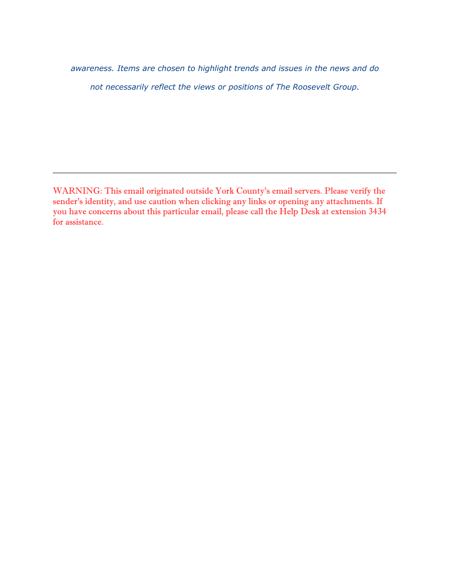*awareness. Items are chosen to highlight trends and issues in the news and do not necessarily reflect the views or positions of The Roosevelt Group.* 

WARNING: This email originated outside York County's email servers. Please verify the sender's identity, and use caution when clicking any links or opening any attachments. If you have concerns about this particular email, please call the Help Desk at extension 3434 for assistance.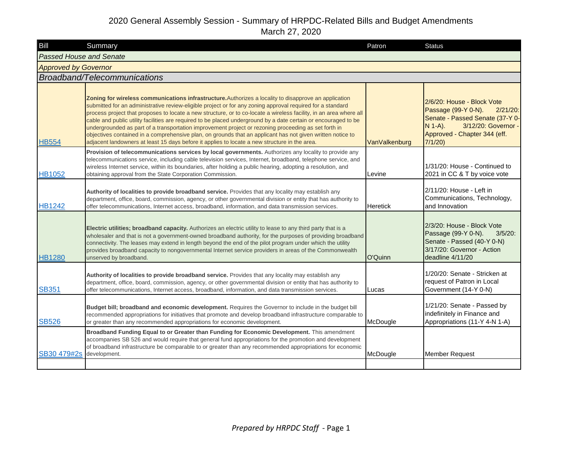| Bill                           | Summary                                                                                                                                                                                                                                                                                                                                                                                                                                                                                                                                                                                                                                                                                                                                                                             | Patron          | <b>Status</b>                                                                                                                                                                     |
|--------------------------------|-------------------------------------------------------------------------------------------------------------------------------------------------------------------------------------------------------------------------------------------------------------------------------------------------------------------------------------------------------------------------------------------------------------------------------------------------------------------------------------------------------------------------------------------------------------------------------------------------------------------------------------------------------------------------------------------------------------------------------------------------------------------------------------|-----------------|-----------------------------------------------------------------------------------------------------------------------------------------------------------------------------------|
| <b>Passed House and Senate</b> |                                                                                                                                                                                                                                                                                                                                                                                                                                                                                                                                                                                                                                                                                                                                                                                     |                 |                                                                                                                                                                                   |
| <b>Approved by Governor</b>    |                                                                                                                                                                                                                                                                                                                                                                                                                                                                                                                                                                                                                                                                                                                                                                                     |                 |                                                                                                                                                                                   |
|                                | Broadband/Telecommunications                                                                                                                                                                                                                                                                                                                                                                                                                                                                                                                                                                                                                                                                                                                                                        |                 |                                                                                                                                                                                   |
| <b>HB554</b>                   | Zoning for wireless communications infrastructure. Authorizes a locality to disapprove an application<br>submitted for an administrative review-eligible project or for any zoning approval required for a standard<br>process project that proposes to locate a new structure, or to co-locate a wireless facility, in an area where all<br>cable and public utility facilities are required to be placed underground by a date certain or encouraged to be<br>undergrounded as part of a transportation improvement project or rezoning proceeding as set forth in<br>objectives contained in a comprehensive plan, on grounds that an applicant has not given written notice to<br>adjacent landowners at least 15 days before it applies to locate a new structure in the area. | VanValkenburg   | 2/6/20: House - Block Vote<br>Passage (99-Y 0-N).<br>$2/21/20$ :<br>Senate - Passed Senate (37-Y 0-<br>$N$ 1-A).<br>3/12/20: Governor -<br>Approved - Chapter 344 (eff.<br>7/1/20 |
| <b>HB1052</b>                  | Provision of telecommunications services by local governments. Authorizes any locality to provide any<br>telecommunications service, including cable television services, Internet, broadband, telephone service, and<br>wireless Internet service, within its boundaries, after holding a public hearing, adopting a resolution, and<br>obtaining approval from the State Corporation Commission.                                                                                                                                                                                                                                                                                                                                                                                  | Levine          | 1/31/20: House - Continued to<br>2021 in CC & T by voice vote                                                                                                                     |
| <b>HB1242</b>                  | Authority of localities to provide broadband service. Provides that any locality may establish any<br>department, office, board, commission, agency, or other governmental division or entity that has authority to<br>offer telecommunications, Internet access, broadband, information, and data transmission services.                                                                                                                                                                                                                                                                                                                                                                                                                                                           | <b>Heretick</b> | 2/11/20: House - Left in<br>Communications, Technology,<br>and Innovation                                                                                                         |
| <b>HB1280</b>                  | Electric utilities; broadband capacity. Authorizes an electric utility to lease to any third party that is a<br>wholesaler and that is not a government-owned broadband authority, for the purposes of providing broadband<br>connectivity. The leases may extend in length beyond the end of the pilot program under which the utility<br>provides broadband capacity to nongovernmental Internet service providers in areas of the Commonwealth<br>unserved by broadband.                                                                                                                                                                                                                                                                                                         | O'Quinn         | 2/3/20: House - Block Vote<br>Passage (99-Y 0-N).<br>$3/5/20$ :<br>Senate - Passed (40-Y 0-N)<br>3/17/20: Governor - Action<br>deadline 4/11/20                                   |
| <b>SB351</b>                   | Authority of localities to provide broadband service. Provides that any locality may establish any<br>department, office, board, commission, agency, or other governmental division or entity that has authority to<br>offer telecommunications, Internet access, broadband, information, and data transmission services.                                                                                                                                                                                                                                                                                                                                                                                                                                                           | Lucas           | 1/20/20: Senate - Stricken at<br>request of Patron in Local<br>Government (14-Y 0-N)                                                                                              |
| <b>SB526</b>                   | Budget bill; broadband and economic development. Requires the Governor to include in the budget bill<br>recommended appropriations for initiatives that promote and develop broadband infrastructure comparable to<br>or greater than any recommended appropriations for economic development.                                                                                                                                                                                                                                                                                                                                                                                                                                                                                      | McDougle        | 1/21/20: Senate - Passed by<br>indefinitely in Finance and<br>Appropriations (11-Y 4-N 1-A)                                                                                       |
| SB30 479#2s                    | Broadband Funding Equal to or Greater than Funding for Economic Development. This amendment<br>accompanies SB 526 and would require that general fund appropriations for the promotion and development<br>of broadband infrastructure be comparable to or greater than any recommended appropriations for economic<br>development.                                                                                                                                                                                                                                                                                                                                                                                                                                                  | McDougle        | <b>Member Request</b>                                                                                                                                                             |
|                                |                                                                                                                                                                                                                                                                                                                                                                                                                                                                                                                                                                                                                                                                                                                                                                                     |                 |                                                                                                                                                                                   |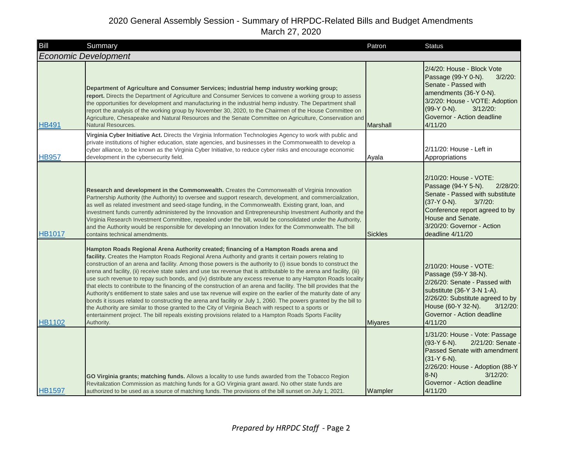| Bill          | Summary                                                                                                                                                                                                                                                                                                                                                                                                                                                                                                                                                                                                                                                                                                                                                                                                                                                                                                                                                                                                                                                                                                                                                    | Patron          | <b>Status</b>                                                                                                                                                                                                                         |
|---------------|------------------------------------------------------------------------------------------------------------------------------------------------------------------------------------------------------------------------------------------------------------------------------------------------------------------------------------------------------------------------------------------------------------------------------------------------------------------------------------------------------------------------------------------------------------------------------------------------------------------------------------------------------------------------------------------------------------------------------------------------------------------------------------------------------------------------------------------------------------------------------------------------------------------------------------------------------------------------------------------------------------------------------------------------------------------------------------------------------------------------------------------------------------|-----------------|---------------------------------------------------------------------------------------------------------------------------------------------------------------------------------------------------------------------------------------|
|               | <b>Economic Development</b>                                                                                                                                                                                                                                                                                                                                                                                                                                                                                                                                                                                                                                                                                                                                                                                                                                                                                                                                                                                                                                                                                                                                |                 |                                                                                                                                                                                                                                       |
| <b>HB491</b>  | Department of Agriculture and Consumer Services; industrial hemp industry working group;<br>report. Directs the Department of Agriculture and Consumer Services to convene a working group to assess<br>the opportunities for development and manufacturing in the industrial hemp industry. The Department shall<br>report the analysis of the working group by November 30, 2020, to the Chairmen of the House Committee on<br>Agriculture, Chesapeake and Natural Resources and the Senate Committee on Agriculture, Conservation and<br><b>Natural Resources.</b>                                                                                                                                                                                                                                                                                                                                                                                                                                                                                                                                                                                      | <b>Marshall</b> | 2/4/20: House - Block Vote<br>Passage (99-Y 0-N).<br>$3/2/20$ :<br>Senate - Passed with<br>amendments (36-Y 0-N).<br>3/2/20: House - VOTE: Adoption<br>(99-Y 0-N).<br>$3/12/20$ :<br>Governor - Action deadline<br>4/11/20            |
| <b>HB957</b>  | Virginia Cyber Initiative Act. Directs the Virginia Information Technologies Agency to work with public and<br>private institutions of higher education, state agencies, and businesses in the Commonwealth to develop a<br>cyber alliance, to be known as the Virginia Cyber Initiative, to reduce cyber risks and encourage economic<br>development in the cybersecurity field.                                                                                                                                                                                                                                                                                                                                                                                                                                                                                                                                                                                                                                                                                                                                                                          | Ayala           | 2/11/20: House - Left in<br>Appropriations                                                                                                                                                                                            |
| <b>HB1017</b> | Research and development in the Commonwealth. Creates the Commonwealth of Virginia Innovation<br>Partnership Authority (the Authority) to oversee and support research, development, and commercialization,<br>as well as related investment and seed-stage funding, in the Commonwealth. Existing grant, loan, and<br>investment funds currently administered by the Innovation and Entrepreneurship Investment Authority and the<br>Virginia Research Investment Committee, repealed under the bill, would be consolidated under the Authority,<br>and the Authority would be responsible for developing an Innovation Index for the Commonwealth. The bill<br>contains technical amendments.                                                                                                                                                                                                                                                                                                                                                                                                                                                            | <b>Sickles</b>  | 2/10/20: House - VOTE:<br>Passage (94-Y 5-N).<br>2/28/20:<br>Senate - Passed with substitute<br>$(37-Y 0-N)$ .<br>$3/7/20$ :<br>Conference report agreed to by<br>House and Senate.<br>3/20/20: Governor - Action<br>deadline 4/11/20 |
| <b>HB1102</b> | Hampton Roads Regional Arena Authority created; financing of a Hampton Roads arena and<br>facility. Creates the Hampton Roads Regional Arena Authority and grants it certain powers relating to<br>construction of an arena and facility. Among those powers is the authority to (i) issue bonds to construct the<br>arena and facility, (ii) receive state sales and use tax revenue that is attributable to the arena and facility, (iii)<br>use such revenue to repay such bonds, and (iv) distribute any excess revenue to any Hampton Roads locality<br>that elects to contribute to the financing of the construction of an arena and facility. The bill provides that the<br>Authority's entitlement to state sales and use tax revenue will expire on the earlier of the maturity date of any<br>bonds it issues related to constructing the arena and facility or July 1, 2060. The powers granted by the bill to<br>the Authority are similar to those granted to the City of Virginia Beach with respect to a sports or<br>entertainment project. The bill repeals existing provisions related to a Hampton Roads Sports Facility<br>Authority. | <b>Miyares</b>  | 2/10/20: House - VOTE:<br>Passage (59-Y 38-N).<br>2/26/20: Senate - Passed with<br>substitute (36-Y 3-N 1-A).<br>2/26/20: Substitute agreed to by<br>House (60-Y 32-N).<br>$3/12/20$ :<br>Governor - Action deadline<br>4/11/20       |
| <b>HB1597</b> | GO Virginia grants; matching funds. Allows a locality to use funds awarded from the Tobacco Region<br>Revitalization Commission as matching funds for a GO Virginia grant award. No other state funds are<br>authorized to be used as a source of matching funds. The provisions of the bill sunset on July 1, 2021.                                                                                                                                                                                                                                                                                                                                                                                                                                                                                                                                                                                                                                                                                                                                                                                                                                       | Wampler         | 1/31/20: House - Vote: Passage<br>$(93-Y 6-N)$ .<br>2/21/20: Senate<br>Passed Senate with amendment<br>$(31-Y 6-N).$<br>2/26/20: House - Adoption (88-Y<br>$3/12/20$ :<br>$8-N$ )<br>Governor - Action deadline<br>4/11/20            |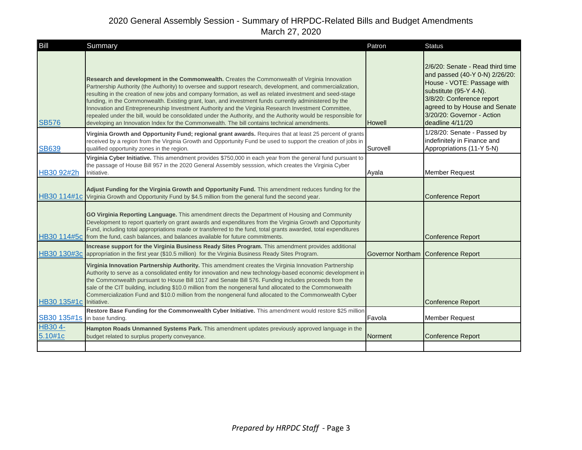| Bill                    | Summary                                                                                                                                                                                                                                                                                                                                                                                                                                                                                                                                                                                                                                                                                                                                                      | Patron        | <b>Status</b>                                                                                                                                                                                                                              |
|-------------------------|--------------------------------------------------------------------------------------------------------------------------------------------------------------------------------------------------------------------------------------------------------------------------------------------------------------------------------------------------------------------------------------------------------------------------------------------------------------------------------------------------------------------------------------------------------------------------------------------------------------------------------------------------------------------------------------------------------------------------------------------------------------|---------------|--------------------------------------------------------------------------------------------------------------------------------------------------------------------------------------------------------------------------------------------|
| <b>SB576</b>            | Research and development in the Commonwealth. Creates the Commonwealth of Virginia Innovation<br>Partnership Authority (the Authority) to oversee and support research, development, and commercialization,<br>resulting in the creation of new jobs and company formation, as well as related investment and seed-stage<br>funding, in the Commonwealth. Existing grant, loan, and investment funds currently administered by the<br>Innovation and Entrepreneurship Investment Authority and the Virginia Research Investment Committee,<br>repealed under the bill, would be consolidated under the Authority, and the Authority would be responsible for<br>developing an Innovation Index for the Commonwealth. The bill contains technical amendments. | <b>Howell</b> | 2/6/20: Senate - Read third time<br>and passed (40-Y 0-N) 2/26/20:<br>House - VOTE: Passage with<br>substitute (95-Y 4-N).<br>3/8/20: Conference report<br>agreed to by House and Senate<br>3/20/20: Governor - Action<br>deadline 4/11/20 |
| <b>SB639</b>            | Virginia Growth and Opportunity Fund; regional grant awards. Requires that at least 25 percent of grants<br>received by a region from the Virginia Growth and Opportunity Fund be used to support the creation of jobs in<br>qualified opportunity zones in the region.                                                                                                                                                                                                                                                                                                                                                                                                                                                                                      | Surovell      | 1/28/20: Senate - Passed by<br>indefinitely in Finance and<br>Appropriations (11-Y 5-N)                                                                                                                                                    |
| HB30 92#2h              | Virginia Cyber Initiative. This amendment provides \$750,000 in each year from the general fund pursuant to<br>the passage of House Bill 957 in the 2020 General Assembly sesssion, which creates the Virginia Cyber<br>Initiative.                                                                                                                                                                                                                                                                                                                                                                                                                                                                                                                          | Ayala         | <b>Member Request</b>                                                                                                                                                                                                                      |
|                         | Adjust Funding for the Virginia Growth and Opportunity Fund. This amendment reduces funding for the<br>HB30 114#1c Virginia Growth and Opportunity Fund by \$4.5 million from the general fund the second year.                                                                                                                                                                                                                                                                                                                                                                                                                                                                                                                                              |               | <b>Conference Report</b>                                                                                                                                                                                                                   |
|                         | GO Virginia Reporting Language. This amendment directs the Department of Housing and Community<br>Development to report quarterly on grant awards and expenditures from the Virginia Growth and Opportunity<br>Fund, including total appropriations made or transferred to the fund, total grants awarded, total expenditures<br>HB30 114#5c from the fund, cash balances, and balances available for future commitments.                                                                                                                                                                                                                                                                                                                                    |               | <b>Conference Report</b>                                                                                                                                                                                                                   |
|                         | Increase support for the Virginia Business Ready Sites Program. This amendment provides additional<br>HB30 130#3c appropriation in the first year (\$10.5 million) for the Virginia Business Ready Sites Program.                                                                                                                                                                                                                                                                                                                                                                                                                                                                                                                                            |               | Governor Northam Conference Report                                                                                                                                                                                                         |
| HB30 135#1c Initiative. | Virginia Innovation Partnership Authority. This amendment creates the Virginia Innovation Partnership<br>Authority to serve as a consolidated entity for innovation and new technology-based economic development in<br>the Commonwealth pursuant to House Bill 1017 and Senate Bill 576. Funding includes proceeds from the<br>sale of the CIT building, including \$10.0 million from the nongeneral fund allocated to the Commonwealth<br>Commercialization Fund and \$10.0 million from the nongeneral fund allocated to the Commonwealth Cyber                                                                                                                                                                                                          |               | <b>Conference Report</b>                                                                                                                                                                                                                   |
| SB30 135#1s             | Restore Base Funding for the Commonwealth Cyber Initiative. This amendment would restore \$25 million<br>in base funding.                                                                                                                                                                                                                                                                                                                                                                                                                                                                                                                                                                                                                                    | Favola        | <b>Member Request</b>                                                                                                                                                                                                                      |
| HB30 4-<br>5.10#1c      | Hampton Roads Unmanned Systems Park. This amendment updates previously approved language in the<br>budget related to surplus property conveyance.                                                                                                                                                                                                                                                                                                                                                                                                                                                                                                                                                                                                            | Norment       | <b>Conference Report</b>                                                                                                                                                                                                                   |
|                         |                                                                                                                                                                                                                                                                                                                                                                                                                                                                                                                                                                                                                                                                                                                                                              |               |                                                                                                                                                                                                                                            |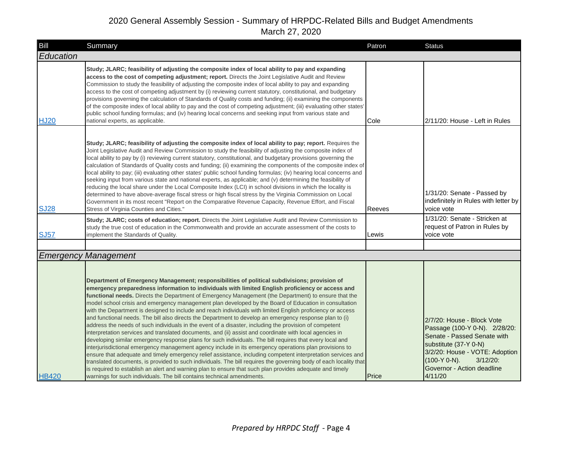| Bill         | Summary                                                                                                                                                                                                                                                                                                                                                                                                                                                                                                                                                                                                                                                                                                                                                                                                                                                                                                                                                                                                                                                                                                                                                                                                                                                                                                                                                                                                                                                                                                           | Patron | <b>Status</b>                                                                                                                                                                                                                    |
|--------------|-------------------------------------------------------------------------------------------------------------------------------------------------------------------------------------------------------------------------------------------------------------------------------------------------------------------------------------------------------------------------------------------------------------------------------------------------------------------------------------------------------------------------------------------------------------------------------------------------------------------------------------------------------------------------------------------------------------------------------------------------------------------------------------------------------------------------------------------------------------------------------------------------------------------------------------------------------------------------------------------------------------------------------------------------------------------------------------------------------------------------------------------------------------------------------------------------------------------------------------------------------------------------------------------------------------------------------------------------------------------------------------------------------------------------------------------------------------------------------------------------------------------|--------|----------------------------------------------------------------------------------------------------------------------------------------------------------------------------------------------------------------------------------|
| Education    |                                                                                                                                                                                                                                                                                                                                                                                                                                                                                                                                                                                                                                                                                                                                                                                                                                                                                                                                                                                                                                                                                                                                                                                                                                                                                                                                                                                                                                                                                                                   |        |                                                                                                                                                                                                                                  |
| <b>HJ20</b>  | Study; JLARC; feasibility of adjusting the composite index of local ability to pay and expanding<br>access to the cost of competing adjustment; report. Directs the Joint Legislative Audit and Review<br>Commission to study the feasibility of adjusting the composite index of local ability to pay and expanding<br>access to the cost of competing adjustment by (i) reviewing current statutory, constitutional, and budgetary<br>provisions governing the calculation of Standards of Quality costs and funding; (ii) examining the components<br>of the composite index of local ability to pay and the cost of competing adjustment; (iii) evaluating other states'<br>public school funding formulas; and (iv) hearing local concerns and seeking input from various state and<br>national experts, as applicable.                                                                                                                                                                                                                                                                                                                                                                                                                                                                                                                                                                                                                                                                                      | Cole   | 2/11/20: House - Left in Rules                                                                                                                                                                                                   |
| <b>SJ28</b>  | Study; JLARC; feasibility of adjusting the composite index of local ability to pay; report. Requires the<br>Joint Legislative Audit and Review Commission to study the feasibility of adjusting the composite index of<br>local ability to pay by (i) reviewing current statutory, constitutional, and budgetary provisions governing the<br>calculation of Standards of Quality costs and funding; (ii) examining the components of the composite index of<br>local ability to pay; (iii) evaluating other states' public school funding formulas; (iv) hearing local concerns and<br>seeking input from various state and national experts, as applicable; and (v) determining the feasibility of<br>reducing the local share under the Local Composite Index (LCI) in school divisions in which the locality is<br>determined to have above-average fiscal stress or high fiscal stress by the Virginia Commission on Local<br>Government in its most recent "Report on the Comparative Revenue Capacity, Revenue Effort, and Fiscal<br>Stress of Virginia Counties and Cities."<br>Study; JLARC; costs of education; report. Directs the Joint Legislative Audit and Review Commission to                                                                                                                                                                                                                                                                                                                     | Reeves | 1/31/20: Senate - Passed by<br>indefinitely in Rules with letter by<br>voice vote<br>1/31/20: Senate - Stricken at                                                                                                               |
| <b>SJ57</b>  | study the true cost of education in the Commonwealth and provide an accurate assessment of the costs to<br>implement the Standards of Quality.                                                                                                                                                                                                                                                                                                                                                                                                                                                                                                                                                                                                                                                                                                                                                                                                                                                                                                                                                                                                                                                                                                                                                                                                                                                                                                                                                                    | Lewis  | request of Patron in Rules by<br>voice vote                                                                                                                                                                                      |
|              |                                                                                                                                                                                                                                                                                                                                                                                                                                                                                                                                                                                                                                                                                                                                                                                                                                                                                                                                                                                                                                                                                                                                                                                                                                                                                                                                                                                                                                                                                                                   |        |                                                                                                                                                                                                                                  |
|              | <b>Emergency Management</b>                                                                                                                                                                                                                                                                                                                                                                                                                                                                                                                                                                                                                                                                                                                                                                                                                                                                                                                                                                                                                                                                                                                                                                                                                                                                                                                                                                                                                                                                                       |        |                                                                                                                                                                                                                                  |
| <b>HB420</b> | Department of Emergency Management; responsibilities of political subdivisions; provision of<br>emergency preparedness information to individuals with limited English proficiency or access and<br>functional needs. Directs the Department of Emergency Management (the Department) to ensure that the<br>model school crisis and emergency management plan developed by the Board of Education in consultation<br>with the Department is designed to include and reach individuals with limited English proficiency or access<br>and functional needs. The bill also directs the Department to develop an emergency response plan to (i)<br>address the needs of such individuals in the event of a disaster, including the provision of competent<br>interpretation services and translated documents, and (ii) assist and coordinate with local agencies in<br>developing similar emergency response plans for such individuals. The bill requires that every local and<br>interjurisdictional emergency management agency include in its emergency operations plan provisions to<br>ensure that adequate and timely emergency relief assistance, including competent interpretation services and<br>translated documents, is provided to such individuals. The bill requires the governing body of each locality that<br>is required to establish an alert and warning plan to ensure that such plan provides adequate and timely<br>warnings for such individuals. The bill contains technical amendments. | Price  | 2/7/20: House - Block Vote<br>Passage (100-Y 0-N). 2/28/20:<br>Senate - Passed Senate with<br>substitute (37-Y 0-N)<br>3/2/20: House - VOTE: Adoption<br>$(100-Y 0-N)$ .<br>$3/12/20$ :<br>Governor - Action deadline<br>4/11/20 |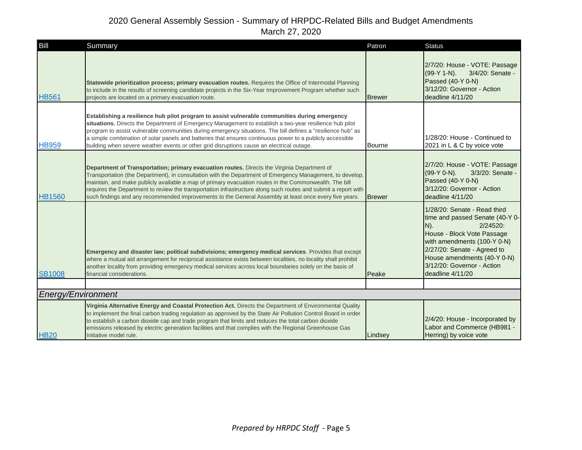| Bill               | Summary                                                                                                                                                                                                                                                                                                                                                                                                                                                                                                                                        | Patron        | <b>Status</b>                                                                                                                                                                                                                                                         |
|--------------------|------------------------------------------------------------------------------------------------------------------------------------------------------------------------------------------------------------------------------------------------------------------------------------------------------------------------------------------------------------------------------------------------------------------------------------------------------------------------------------------------------------------------------------------------|---------------|-----------------------------------------------------------------------------------------------------------------------------------------------------------------------------------------------------------------------------------------------------------------------|
| <b>HB561</b>       | Statewide prioritization process; primary evacuation routes. Requires the Office of Intermodal Planning<br>to include in the results of screening candidate projects in the Six-Year Improvement Program whether such<br>projects are located on a primary evacuation route.                                                                                                                                                                                                                                                                   | <b>Brewer</b> | 2/7/20: House - VOTE: Passage<br>$(99-Y 1-N)$ .<br>3/4/20: Senate -<br>Passed (40-Y 0-N)<br>3/12/20: Governor - Action<br>deadline 4/11/20                                                                                                                            |
| <b>HB959</b>       | Establishing a resilience hub pilot program to assist vulnerable communities during emergency<br>situations. Directs the Department of Emergency Management to establish a two-year resilience hub pilot<br>program to assist vulnerable communities during emergency situations. The bill defines a "resilience hub" as<br>a simple combination of solar panels and batteries that ensures continuous power to a publicly accessible<br>building when severe weather events or other grid disruptions cause an electrical outage.             | Bourne        | 1/28/20: House - Continued to<br>2021 in L & C by voice vote                                                                                                                                                                                                          |
| <b>HB1560</b>      | Department of Transportation; primary evacuation routes. Directs the Virginia Department of<br>Transportation (the Department), in consultation with the Department of Emergency Management, to develop,<br>maintain, and make publicly available a map of primary evacuation routes in the Commonwealth. The bill<br>requires the Department to review the transportation infrastructure along such routes and submit a report with<br>such findings and any recommended improvements to the General Assembly at least once every five years. | <b>Brewer</b> | 2/7/20: House - VOTE: Passage<br>(99-Y 0-N).<br>3/3/20: Senate -<br>Passed (40-Y 0-N)<br>3/12/20: Governor - Action<br>deadline 4/11/20                                                                                                                               |
| <b>SB1008</b>      | Emergency and disaster law; political subdivisions; emergency medical services. Provides that except<br>where a mutual aid arrangement for reciprocal assistance exists between localities, no locality shall prohibit<br>another locality from providing emergency medical services across local boundaries solely on the basis of<br>financial considerations.                                                                                                                                                                               | Peake         | 1/28/20: Senate - Read third<br>time and passed Senate (40-Y 0-<br>$N$ ).<br>$2/24520$ :<br>House - Block Vote Passage<br>with amendments (100-Y 0-N)<br>2/27/20: Senate - Agreed to<br>House amendments (40-Y 0-N)<br>3/12/20: Governor - Action<br>deadline 4/11/20 |
|                    |                                                                                                                                                                                                                                                                                                                                                                                                                                                                                                                                                |               |                                                                                                                                                                                                                                                                       |
| Energy/Environment |                                                                                                                                                                                                                                                                                                                                                                                                                                                                                                                                                |               |                                                                                                                                                                                                                                                                       |
| <b>HB20</b>        | Virginia Alternative Energy and Coastal Protection Act. Directs the Department of Environmental Quality<br>to implement the final carbon trading regulation as approved by the State Air Pollution Control Board in order<br>to establish a carbon dioxide cap and trade program that limits and reduces the total carbon dioxide<br>emissions released by electric generation facilities and that complies with the Regional Greenhouse Gas<br>Initiative model rule.                                                                         | Lindsey       | 2/4/20: House - Incorporated by<br>Labor and Commerce (HB981 -<br>Herring) by voice vote                                                                                                                                                                              |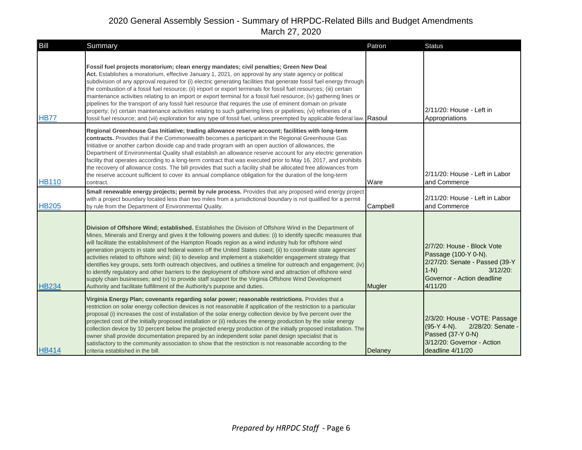| Bill         | Summary                                                                                                                                                                                                                                                                                                                                                                                                                                                                                                                                                                                                                                                                                                                                                                                                                                                                                                                                                                                         | Patron        | <b>Status</b>                                                                                                                                         |
|--------------|-------------------------------------------------------------------------------------------------------------------------------------------------------------------------------------------------------------------------------------------------------------------------------------------------------------------------------------------------------------------------------------------------------------------------------------------------------------------------------------------------------------------------------------------------------------------------------------------------------------------------------------------------------------------------------------------------------------------------------------------------------------------------------------------------------------------------------------------------------------------------------------------------------------------------------------------------------------------------------------------------|---------------|-------------------------------------------------------------------------------------------------------------------------------------------------------|
| <b>HB77</b>  | Fossil fuel projects moratorium; clean energy mandates; civil penalties; Green New Deal<br>Act. Establishes a moratorium, effective January 1, 2021, on approval by any state agency or political<br>subdivision of any approval required for (i) electric generating facilities that generate fossil fuel energy through<br>the combustion of a fossil fuel resource; (ii) import or export terminals for fossil fuel resources; (iii) certain<br>maintenance activities relating to an import or export terminal for a fossil fuel resource; (iv) gathering lines or<br>pipelines for the transport of any fossil fuel resource that requires the use of eminent domain on private<br>property; (v) certain maintenance activities relating to such gathering lines or pipelines; (vi) refineries of a<br>fossil fuel resource; and (vii) exploration for any type of fossil fuel, unless preempted by applicable federal law. Rasoul                                                         |               | 2/11/20: House - Left in<br>Appropriations                                                                                                            |
| <b>HB110</b> | Regional Greenhouse Gas Initiative; trading allowance reserve account; facilities with long-term<br>contracts. Provides that if the Commonwealth becomes a participant in the Regional Greenhouse Gas<br>Initiative or another carbon dioxide cap and trade program with an open auction of allowances, the<br>Department of Environmental Quality shall establish an allowance reserve account for any electric generation<br>facility that operates according to a long-term contract that was executed prior to May 16, 2017, and prohibits<br>the recovery of allowance costs. The bill provides that such a facility shall be allocated free allowances from<br>the reserve account sufficient to cover its annual compliance obligation for the duration of the long-term<br>contract.<br>Small renewable energy projects; permit by rule process. Provides that any proposed wind energy project                                                                                         | Ware          | 2/11/20: House - Left in Labor<br>and Commerce                                                                                                        |
| <b>HB205</b> | with a project boundary located less than two miles from a jurisdictional boundary is not qualified for a permit<br>by rule from the Department of Environmental Quality.                                                                                                                                                                                                                                                                                                                                                                                                                                                                                                                                                                                                                                                                                                                                                                                                                       | Campbell      | 2/11/20: House - Left in Labor<br>and Commerce                                                                                                        |
| <b>HB234</b> | Division of Offshore Wind; established. Establishes the Division of Offshore Wind in the Department of<br>Mines, Minerals and Energy and gives it the following powers and duties: (i) to identify specific measures that<br>will facilitate the establishment of the Hampton Roads region as a wind industry hub for offshore wind<br>generation projects in state and federal waters off the United States coast; (ii) to coordinate state agencies'<br>activities related to offshore wind; (iii) to develop and implement a stakeholder engagement strategy that<br>identifies key groups, sets forth outreach objectives, and outlines a timeline for outreach and engagement; (iv)<br>to identify regulatory and other barriers to the deployment of offshore wind and attraction of offshore wind<br>supply chain businesses; and (v) to provide staff support for the Virginia Offshore Wind Development<br>Authority and facilitate fulfillment of the Authority's purpose and duties. | <b>Mugler</b> | 2/7/20: House - Block Vote<br>Passage (100-Y 0-N).<br>2/27/20: Senate - Passed (39-Y<br>$1-N$<br>$3/12/20$ :<br>Governor - Action deadline<br>4/11/20 |
| <b>HB414</b> | Virginia Energy Plan; covenants regarding solar power; reasonable restrictions. Provides that a<br>restriction on solar energy collection devices is not reasonable if application of the restriction to a particular<br>proposal (i) increases the cost of installation of the solar energy collection device by five percent over the<br>projected cost of the initially proposed installation or (ii) reduces the energy production by the solar energy<br>collection device by 10 percent below the projected energy production of the initially proposed installation. The<br>owner shall provide documentation prepared by an independent solar panel design specialist that is<br>satisfactory to the community association to show that the restriction is not reasonable according to the<br>criteria established in the bill.                                                                                                                                                         | Delaney       | 2/3/20: House - VOTE: Passage<br>$(95-Y 4-N)$ .<br>2/28/20: Senate -<br>Passed (37-Y 0-N)<br>3/12/20: Governor - Action<br>deadline 4/11/20           |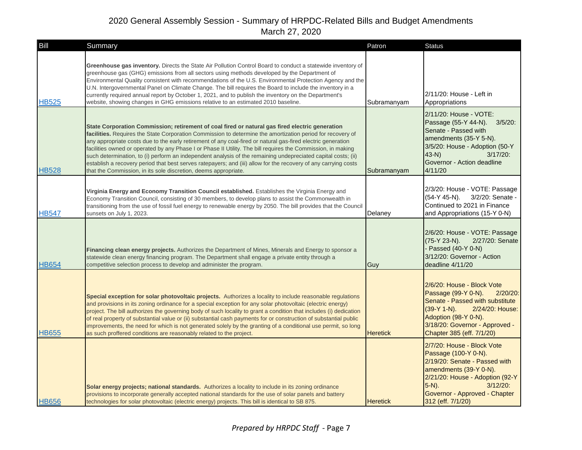| Bill         | Summary                                                                                                                                                                                                                                                                                                                                                                                                                                                                                                                                                                                                                                                                                                                                              | Patron          | <b>Status</b>                                                                                                                                                                                                                     |
|--------------|------------------------------------------------------------------------------------------------------------------------------------------------------------------------------------------------------------------------------------------------------------------------------------------------------------------------------------------------------------------------------------------------------------------------------------------------------------------------------------------------------------------------------------------------------------------------------------------------------------------------------------------------------------------------------------------------------------------------------------------------------|-----------------|-----------------------------------------------------------------------------------------------------------------------------------------------------------------------------------------------------------------------------------|
| <b>HB525</b> | Greenhouse gas inventory. Directs the State Air Pollution Control Board to conduct a statewide inventory of<br>greenhouse gas (GHG) emissions from all sectors using methods developed by the Department of<br>Environmental Quality consistent with recommendations of the U.S. Environmental Protection Agency and the<br>U.N. Intergovernmental Panel on Climate Change. The bill requires the Board to include the inventory in a<br>currently required annual report by October 1, 2021, and to publish the inventory on the Department's<br>website, showing changes in GHG emissions relative to an estimated 2010 baseline.                                                                                                                  | Subramanyam     | 2/11/20: House - Left in<br>Appropriations                                                                                                                                                                                        |
| <b>HB528</b> | State Corporation Commission; retirement of coal fired or natural gas fired electric generation<br>facilities. Requires the State Corporation Commission to determine the amortization period for recovery of<br>any appropriate costs due to the early retirement of any coal-fired or natural gas-fired electric generation<br>facilities owned or operated by any Phase I or Phase II Utility. The bill requires the Commission, in making<br>such determination, to (i) perform an independent analysis of the remaining undepreciated capital costs; (ii)<br>establish a recovery period that best serves ratepayers; and (iii) allow for the recovery of any carrying costs<br>that the Commission, in its sole discretion, deems appropriate. | Subramanyam     | 2/11/20: House - VOTE:<br>Passage (55-Y 44-N). 3/5/20:<br>Senate - Passed with<br>amendments (35-Y 5-N).<br>3/5/20: House - Adoption (50-Y<br>$43-N$<br>$3/17/20$ :<br>Governor - Action deadline<br>4/11/20                      |
| HB547        | Virginia Energy and Economy Transition Council established. Establishes the Virginia Energy and<br>Economy Transition Council, consisting of 30 members, to develop plans to assist the Commonwealth in<br>transitioning from the use of fossil fuel energy to renewable energy by 2050. The bill provides that the Council<br>sunsets on July 1, 2023.                                                                                                                                                                                                                                                                                                                                                                                              | Delaney         | 2/3/20: House - VOTE: Passage<br>(54-Y 45-N).<br>3/2/20: Senate -<br>Continued to 2021 in Finance<br>and Appropriations (15-Y 0-N)                                                                                                |
| <b>HB654</b> | Financing clean energy projects. Authorizes the Department of Mines, Minerals and Energy to sponsor a<br>statewide clean energy financing program. The Department shall engage a private entity through a<br>competitive selection process to develop and administer the program.                                                                                                                                                                                                                                                                                                                                                                                                                                                                    | Guy             | 2/6/20: House - VOTE: Passage<br>2/27/20: Senate<br>(75-Y 23-N).<br>- Passed (40-Y 0-N)<br>3/12/20: Governor - Action<br>deadline 4/11/20                                                                                         |
| <b>HB655</b> | Special exception for solar photovoltaic projects. Authorizes a locality to include reasonable regulations<br>and provisions in its zoning ordinance for a special exception for any solar photovoltaic (electric energy)<br>project. The bill authorizes the governing body of such locality to grant a condition that includes (i) dedication<br>of real property of substantial value or (ii) substantial cash payments for or construction of substantial public<br>improvements, the need for which is not generated solely by the granting of a conditional use permit, so long<br>as such proffered conditions are reasonably related to the project.                                                                                         | <b>Heretick</b> | 2/6/20: House - Block Vote<br>Passage (99-Y 0-N).<br>$2/20/20$ :<br>Senate - Passed with substitute<br>(39-Y 1-N).<br>2/24/20: House:<br>Adoption (98-Y 0-N).<br>3/18/20: Governor - Approved -<br>Chapter 385 (eff. 7/1/20)      |
| <b>HB656</b> | Solar energy projects; national standards. Authorizes a locality to include in its zoning ordinance<br>provisions to incorporate generally accepted national standards for the use of solar panels and battery<br>technologies for solar photovoltaic (electric energy) projects. This bill is identical to SB 875.                                                                                                                                                                                                                                                                                                                                                                                                                                  | <b>Heretick</b> | 2/7/20: House - Block Vote<br>Passage (100-Y 0-N).<br>2/19/20: Senate - Passed with<br>amendments (39-Y 0-N).<br>2/21/20: House - Adoption (92-Y<br>$5-N$ ).<br>$3/12/20$ :<br>Governor - Approved - Chapter<br>312 (eff. 7/1/20) |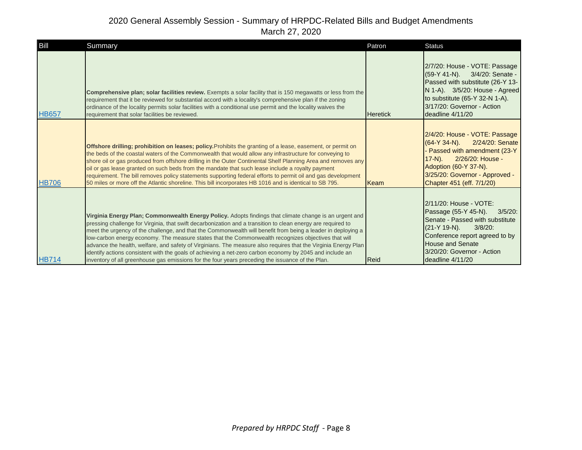| Bill         | Summary                                                                                                                                                                                                                                                                                                                                                                                                                                                                                                                                                                                                                                                                                                                                                                         | Patron          | <b>Status</b>                                                                                                                                                                                                                                |
|--------------|---------------------------------------------------------------------------------------------------------------------------------------------------------------------------------------------------------------------------------------------------------------------------------------------------------------------------------------------------------------------------------------------------------------------------------------------------------------------------------------------------------------------------------------------------------------------------------------------------------------------------------------------------------------------------------------------------------------------------------------------------------------------------------|-----------------|----------------------------------------------------------------------------------------------------------------------------------------------------------------------------------------------------------------------------------------------|
| <b>HB657</b> | Comprehensive plan; solar facilities review. Exempts a solar facility that is 150 megawatts or less from the<br>requirement that it be reviewed for substantial accord with a locality's comprehensive plan if the zoning<br>ordinance of the locality permits solar facilities with a conditional use permit and the locality waives the<br>requirement that solar facilities be reviewed.                                                                                                                                                                                                                                                                                                                                                                                     | <b>Heretick</b> | 2/7/20: House - VOTE: Passage<br>(59-Y 41-N). 3/4/20: Senate -<br>Passed with substitute (26-Y 13-<br>N 1-A). 3/5/20: House - Agreed<br>to substitute (65-Y 32-N 1-A).<br>3/17/20: Governor - Action<br>deadline 4/11/20                     |
| <b>HB706</b> | <b>Offshore drilling; prohibition on leases; policy.</b> Prohibits the granting of a lease, easement, or permit on<br>the beds of the coastal waters of the Commonwealth that would allow any infrastructure for conveying to<br>shore oil or gas produced from offshore drilling in the Outer Continental Shelf Planning Area and removes any<br>oil or gas lease granted on such beds from the mandate that such lease include a royalty payment<br>requirement. The bill removes policy statements supporting federal efforts to permit oil and gas development<br>50 miles or more off the Atlantic shoreline. This bill incorporates HB 1016 and is identical to SB 795.                                                                                                   | Keam            | 2/4/20: House - VOTE: Passage<br>(64-Y 34-N).<br>2/24/20: Senate<br>Passed with amendment (23-Y<br>2/26/20: House -<br>$17-N$ ).<br>Adoption (60-Y 37-N).<br>3/25/20: Governor - Approved -<br>Chapter 451 (eff. 7/1/20)                     |
| <b>HB714</b> | Virginia Energy Plan; Commonwealth Energy Policy. Adopts findings that climate change is an urgent and<br>pressing challenge for Virginia, that swift decarbonization and a transition to clean energy are required to<br>meet the urgency of the challenge, and that the Commonwealth will benefit from being a leader in deploying a<br>low-carbon energy economy. The measure states that the Commonwealth recognizes objectives that will<br>advance the health, welfare, and safety of Virginians. The measure also requires that the Virginia Energy Plan<br>identify actions consistent with the goals of achieving a net-zero carbon economy by 2045 and include an<br>inventory of all greenhouse gas emissions for the four years preceding the issuance of the Plan. | <b>Reid</b>     | 2/11/20: House - VOTE:<br>Passage (55-Y 45-N).<br>$3/5/20$ :<br>Senate - Passed with substitute<br>(21-Y 19-N).<br>$3/8/20$ :<br>Conference report agreed to by<br><b>House and Senate</b><br>3/20/20: Governor - Action<br>deadline 4/11/20 |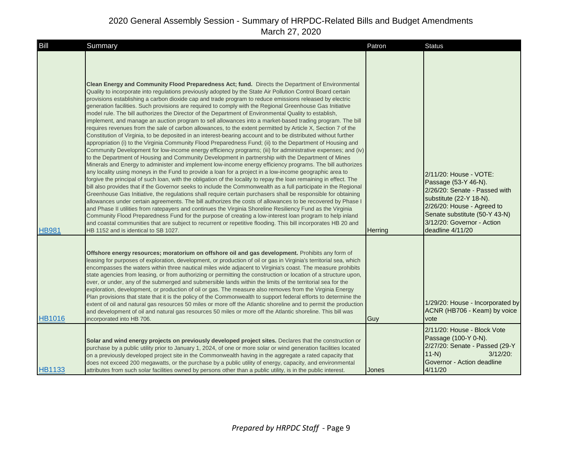| <b>Bill</b>   | Summary                                                                                                                                                                                                                                                                                                                                                                                                                                                                                                                                                                                                                                                                                                                                                                                                                                                                                                                                                                                                                                                                                                                                                                                                                                                                                                                                                                                                                                                                                                                                                                                                                                                                                                                                                                                                                                                                                                                                                                                                                                                                                                                                                                                                                                                                                                                             | Patron  | <b>Status</b>                                                                                                                                                                                                               |
|---------------|-------------------------------------------------------------------------------------------------------------------------------------------------------------------------------------------------------------------------------------------------------------------------------------------------------------------------------------------------------------------------------------------------------------------------------------------------------------------------------------------------------------------------------------------------------------------------------------------------------------------------------------------------------------------------------------------------------------------------------------------------------------------------------------------------------------------------------------------------------------------------------------------------------------------------------------------------------------------------------------------------------------------------------------------------------------------------------------------------------------------------------------------------------------------------------------------------------------------------------------------------------------------------------------------------------------------------------------------------------------------------------------------------------------------------------------------------------------------------------------------------------------------------------------------------------------------------------------------------------------------------------------------------------------------------------------------------------------------------------------------------------------------------------------------------------------------------------------------------------------------------------------------------------------------------------------------------------------------------------------------------------------------------------------------------------------------------------------------------------------------------------------------------------------------------------------------------------------------------------------------------------------------------------------------------------------------------------------|---------|-----------------------------------------------------------------------------------------------------------------------------------------------------------------------------------------------------------------------------|
| <b>HB981</b>  | <b>Clean Energy and Community Flood Preparedness Act; fund.</b> Directs the Department of Environmental<br>Quality to incorporate into regulations previously adopted by the State Air Pollution Control Board certain<br>provisions establishing a carbon dioxide cap and trade program to reduce emissions released by electric<br>generation facilities. Such provisions are required to comply with the Regional Greenhouse Gas Initiative<br>model rule. The bill authorizes the Director of the Department of Environmental Quality to establish,<br>implement, and manage an auction program to sell allowances into a market-based trading program. The bill<br>requires revenues from the sale of carbon allowances, to the extent permitted by Article X, Section 7 of the<br>Constitution of Virginia, to be deposited in an interest-bearing account and to be distributed without further<br>appropriation (i) to the Virginia Community Flood Preparedness Fund; (ii) to the Department of Housing and<br>Community Development for low-income energy efficiency programs; (iii) for administrative expenses; and (iv)<br>to the Department of Housing and Community Development in partnership with the Department of Mines<br>Minerals and Energy to administer and implement low-income energy efficiency programs. The bill authorizes<br>any locality using moneys in the Fund to provide a loan for a project in a low-income geographic area to<br>forgive the principal of such loan, with the obligation of the locality to repay the loan remaining in effect. The<br>bill also provides that if the Governor seeks to include the Commonwealth as a full participate in the Regional<br>Greenhouse Gas Initiative, the regulations shall require certain purchasers shall be responsible for obtaining<br>allowances under certain agreements. The bill authorizes the costs of allowances to be recovered by Phase I<br>and Phase II utilities from ratepayers and continues the Virginia Shoreline Resiliency Fund as the Virginia<br>Community Flood Preparedness Fund for the purpose of creating a low-interest loan program to help inland<br>and coastal communities that are subject to recurrent or repetitive flooding. This bill incorporates HB 20 and<br>HB 1152 and is identical to SB 1027. | Herring | 2/11/20: House - VOTE:<br>Passage (53-Y 46-N).<br>2/26/20: Senate - Passed with<br>substitute (22-Y 18-N).<br>2/26/20: House - Agreed to<br>Senate substitute (50-Y 43-N)<br>3/12/20: Governor - Action<br>deadline 4/11/20 |
| <b>HB1016</b> | Offshore energy resources; moratorium on offshore oil and gas development. Prohibits any form of<br>leasing for purposes of exploration, development, or production of oil or gas in Virginia's territorial sea, which<br>encompasses the waters within three nautical miles wide adjacent to Virginia's coast. The measure prohibits<br>state agencies from leasing, or from authorizing or permitting the construction or location of a structure upon,<br>over, or under, any of the submerged and submersible lands within the limits of the territorial sea for the<br>exploration, development, or production of oil or gas. The measure also removes from the Virginia Energy<br>Plan provisions that state that it is the policy of the Commonwealth to support federal efforts to determine the<br>extent of oil and natural gas resources 50 miles or more off the Atlantic shoreline and to permit the production<br>and development of oil and natural gas resources 50 miles or more off the Atlantic shoreline. This bill was<br>incorporated into HB 706.<br>Solar and wind energy projects on previously developed project sites. Declares that the construction or<br>purchase by a public utility prior to January 1, 2024, of one or more solar or wind generation facilities located                                                                                                                                                                                                                                                                                                                                                                                                                                                                                                                                                                                                                                                                                                                                                                                                                                                                                                                                                                                                                            | Guy     | 1/29/20: House - Incorporated by<br>ACNR (HB706 - Keam) by voice<br>vote<br>2/11/20: House - Block Vote<br>Passage (100-Y 0-N).<br>2/27/20: Senate - Passed (29-Y<br>$11-N$<br>$3/12/20$ :                                  |
| <b>HB1133</b> | on a previously developed project site in the Commonwealth having in the aggregate a rated capacity that<br>does not exceed 200 megawatts, or the purchase by a public utility of energy, capacity, and environmental<br>attributes from such solar facilities owned by persons other than a public utility, is in the public interest.                                                                                                                                                                                                                                                                                                                                                                                                                                                                                                                                                                                                                                                                                                                                                                                                                                                                                                                                                                                                                                                                                                                                                                                                                                                                                                                                                                                                                                                                                                                                                                                                                                                                                                                                                                                                                                                                                                                                                                                             | Jones   | Governor - Action deadline<br>4/11/20                                                                                                                                                                                       |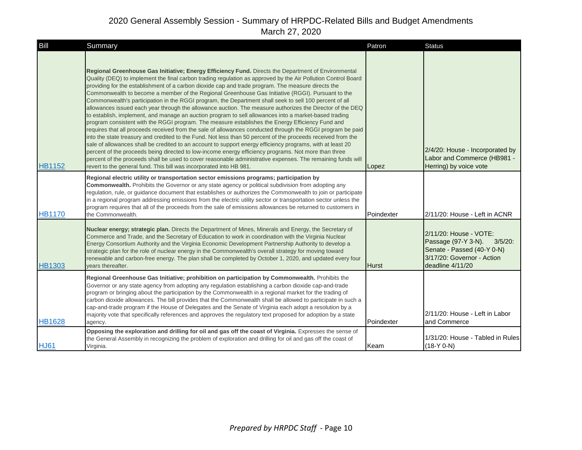| Bill          | Summary                                                                                                                                                                                                                                                                                                                                                                                                                                                                                                                                                                                                                                                                                                                                                                                                                                                                                                                                                                                                                                                                                                                                                                                                                                                                                                                                                                                                                                                                                                       | Patron       | <b>Status</b>                                                                                                                               |
|---------------|---------------------------------------------------------------------------------------------------------------------------------------------------------------------------------------------------------------------------------------------------------------------------------------------------------------------------------------------------------------------------------------------------------------------------------------------------------------------------------------------------------------------------------------------------------------------------------------------------------------------------------------------------------------------------------------------------------------------------------------------------------------------------------------------------------------------------------------------------------------------------------------------------------------------------------------------------------------------------------------------------------------------------------------------------------------------------------------------------------------------------------------------------------------------------------------------------------------------------------------------------------------------------------------------------------------------------------------------------------------------------------------------------------------------------------------------------------------------------------------------------------------|--------------|---------------------------------------------------------------------------------------------------------------------------------------------|
| <b>HB1152</b> | Regional Greenhouse Gas Initiative; Energy Efficiency Fund. Directs the Department of Environmental<br>Quality (DEQ) to implement the final carbon trading regulation as approved by the Air Pollution Control Board<br>providing for the establishment of a carbon dioxide cap and trade program. The measure directs the<br>Commonwealth to become a member of the Regional Greenhouse Gas Initiative (RGGI). Pursuant to the<br>Commonwealth's participation in the RGGI program, the Department shall seek to sell 100 percent of all<br>allowances issued each year through the allowance auction. The measure authorizes the Director of the DEQ<br>to establish, implement, and manage an auction program to sell allowances into a market-based trading<br>program consistent with the RGGI program. The measure establishes the Energy Efficiency Fund and<br>requires that all proceeds received from the sale of allowances conducted through the RGGI program be paid<br>into the state treasury and credited to the Fund. Not less than 50 percent of the proceeds received from the<br>sale of allowances shall be credited to an account to support energy efficiency programs, with at least 20<br>percent of the proceeds being directed to low-income energy efficiency programs. Not more than three<br>percent of the proceeds shall be used to cover reasonable administrative expenses. The remaining funds will<br>revert to the general fund. This bill was incorporated into HB 981. | Lopez        | 2/4/20: House - Incorporated by<br>Labor and Commerce (HB981 -<br>Herring) by voice vote                                                    |
| <b>HB1170</b> | Regional electric utility or transportation sector emissions programs; participation by<br>Commonwealth. Prohibits the Governor or any state agency or political subdivision from adopting any<br>regulation, rule, or guidance document that establishes or authorizes the Commonwealth to join or participate<br>in a regional program addressing emissions from the electric utility sector or transportation sector unless the<br>program requires that all of the proceeds from the sale of emissions allowances be returned to customers in<br>the Commonwealth.                                                                                                                                                                                                                                                                                                                                                                                                                                                                                                                                                                                                                                                                                                                                                                                                                                                                                                                                        | Poindexter   | 2/11/20: House - Left in ACNR                                                                                                               |
| <b>HB1303</b> | Nuclear energy; strategic plan. Directs the Department of Mines, Minerals and Energy, the Secretary of<br>Commerce and Trade, and the Secretary of Education to work in coordination with the Virginia Nuclear<br>Energy Consortium Authority and the Virginia Economic Development Partnership Authority to develop a<br>strategic plan for the role of nuclear energy in the Commonwealth's overall strategy for moving toward<br>renewable and carbon-free energy. The plan shall be completed by October 1, 2020, and updated every four<br>vears thereafter.                                                                                                                                                                                                                                                                                                                                                                                                                                                                                                                                                                                                                                                                                                                                                                                                                                                                                                                                             | <b>Hurst</b> | 2/11/20: House - VOTE:<br>Passage (97-Y 3-N).<br>$3/5/20$ :<br>Senate - Passed (40-Y 0-N)<br>3/17/20: Governor - Action<br>deadline 4/11/20 |
| <b>HB1628</b> | Regional Greenhouse Gas Initiative; prohibition on participation by Commonwealth. Prohibits the<br>Governor or any state agency from adopting any regulation establishing a carbon dioxide cap-and-trade<br>program or bringing about the participation by the Commonwealth in a regional market for the trading of<br>carbon dioxide allowances. The bill provides that the Commonwealth shall be allowed to participate in such a<br>cap-and-trade program if the House of Delegates and the Senate of Virginia each adopt a resolution by a<br>majority vote that specifically references and approves the regulatory text proposed for adoption by a state<br>agency.                                                                                                                                                                                                                                                                                                                                                                                                                                                                                                                                                                                                                                                                                                                                                                                                                                     | Poindexter   | 2/11/20: House - Left in Labor<br>and Commerce                                                                                              |
| <b>HJ61</b>   | Opposing the exploration and drilling for oil and gas off the coast of Virginia. Expresses the sense of<br>the General Assembly in recognizing the problem of exploration and drilling for oil and gas off the coast of<br>Virginia.                                                                                                                                                                                                                                                                                                                                                                                                                                                                                                                                                                                                                                                                                                                                                                                                                                                                                                                                                                                                                                                                                                                                                                                                                                                                          | Keam         | 1/31/20: House - Tabled in Rules<br>$(18-Y 0-N)$                                                                                            |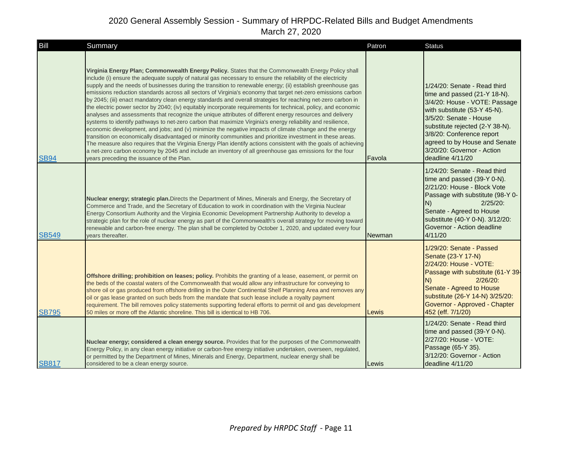| Bill         | Summary                                                                                                                                                                                                                                                                                                                                                                                                                                                                                                                                                                                                                                                                                                                                                                                                                                                                                                                                                                                                                                                                                                                                                                                                                                                                                                                                                                                                           | Patron | <b>Status</b>                                                                                                                                                                                                                                                                                              |
|--------------|-------------------------------------------------------------------------------------------------------------------------------------------------------------------------------------------------------------------------------------------------------------------------------------------------------------------------------------------------------------------------------------------------------------------------------------------------------------------------------------------------------------------------------------------------------------------------------------------------------------------------------------------------------------------------------------------------------------------------------------------------------------------------------------------------------------------------------------------------------------------------------------------------------------------------------------------------------------------------------------------------------------------------------------------------------------------------------------------------------------------------------------------------------------------------------------------------------------------------------------------------------------------------------------------------------------------------------------------------------------------------------------------------------------------|--------|------------------------------------------------------------------------------------------------------------------------------------------------------------------------------------------------------------------------------------------------------------------------------------------------------------|
| <b>SB94</b>  | Virginia Energy Plan; Commonwealth Energy Policy. States that the Commonwealth Energy Policy shall<br>include (i) ensure the adequate supply of natural gas necessary to ensure the reliability of the electricity<br>supply and the needs of businesses during the transition to renewable energy; (ii) establish greenhouse gas<br>emissions reduction standards across all sectors of Virginia's economy that target net-zero emissions carbon<br>by 2045; (iii) enact mandatory clean energy standards and overall strategies for reaching net-zero carbon in<br>the electric power sector by 2040; (iv) equitably incorporate requirements for technical, policy, and economic<br>analyses and assessments that recognize the unique attributes of different energy resources and delivery<br>systems to identify pathways to net-zero carbon that maximize Virginia's energy reliability and resilience,<br>economic development, and jobs; and (v) minimize the negative impacts of climate change and the energy<br>transition on economically disadvantaged or minority communities and prioritize investment in these areas.<br>The measure also requires that the Virginia Energy Plan identify actions consistent with the goals of achieving<br>a net-zero carbon economy by 2045 and include an inventory of all greenhouse gas emissions for the four<br>years preceding the issuance of the Plan. | Favola | 1/24/20: Senate - Read third<br>time and passed (21-Y 18-N).<br>3/4/20: House - VOTE: Passage<br>with substitute (53-Y 45-N).<br>3/5/20: Senate - House<br>substitute rejected (2-Y 38-N).<br>3/8/20: Conference report<br>agreed to by House and Senate<br>3/20/20: Governor - Action<br>deadline 4/11/20 |
| <b>SB549</b> | Nuclear energy; strategic plan. Directs the Department of Mines, Minerals and Energy, the Secretary of<br>Commerce and Trade, and the Secretary of Education to work in coordination with the Virginia Nuclear<br>Energy Consortium Authority and the Virginia Economic Development Partnership Authority to develop a<br>strategic plan for the role of nuclear energy as part of the Commonwealth's overall strategy for moving toward<br>renewable and carbon-free energy. The plan shall be completed by October 1, 2020, and updated every four<br>vears thereafter.                                                                                                                                                                                                                                                                                                                                                                                                                                                                                                                                                                                                                                                                                                                                                                                                                                         | Newman | 1/24/20: Senate - Read third<br>time and passed (39-Y 0-N).<br>2/21/20: House - Block Vote<br>Passage with substitute (98-Y 0-<br>$2/25/20$ :<br>N)<br>Senate - Agreed to House<br>substitute (40-Y 0-N). 3/12/20:<br>Governor - Action deadline<br>4/11/20                                                |
| <b>SB795</b> | Offshore drilling; prohibition on leases; policy. Prohibits the granting of a lease, easement, or permit on<br>the beds of the coastal waters of the Commonwealth that would allow any infrastructure for conveying to<br>shore oil or gas produced from offshore drilling in the Outer Continental Shelf Planning Area and removes any<br>oil or gas lease granted on such beds from the mandate that such lease include a royalty payment<br>requirement. The bill removes policy statements supporting federal efforts to permit oil and gas development<br>50 miles or more off the Atlantic shoreline. This bill is identical to HB 706.                                                                                                                                                                                                                                                                                                                                                                                                                                                                                                                                                                                                                                                                                                                                                                     | Lewis  | 1/29/20: Senate - Passed<br>Senate (23-Y 17-N)<br>2/24/20: House - VOTE:<br>Passage with substitute (61-Y 39-<br>N)<br>$2/26/20$ :<br>Senate - Agreed to House<br>substitute (26-Y 14-N) 3/25/20:<br>Governor - Approved - Chapter<br>452 (eff. 7/1/20)                                                    |
| <b>SB817</b> | Nuclear energy; considered a clean energy source. Provides that for the purposes of the Commonwealth<br>Energy Policy, in any clean energy initiative or carbon-free energy initiative undertaken, overseen, regulated,<br>or permitted by the Department of Mines, Minerals and Energy, Department, nuclear energy shall be<br>considered to be a clean energy source.                                                                                                                                                                                                                                                                                                                                                                                                                                                                                                                                                                                                                                                                                                                                                                                                                                                                                                                                                                                                                                           | Lewis  | 1/24/20: Senate - Read third<br>time and passed (39-Y 0-N).<br>2/27/20: House - VOTE:<br>Passage (65-Y 35).<br>3/12/20: Governor - Action<br>deadline 4/11/20                                                                                                                                              |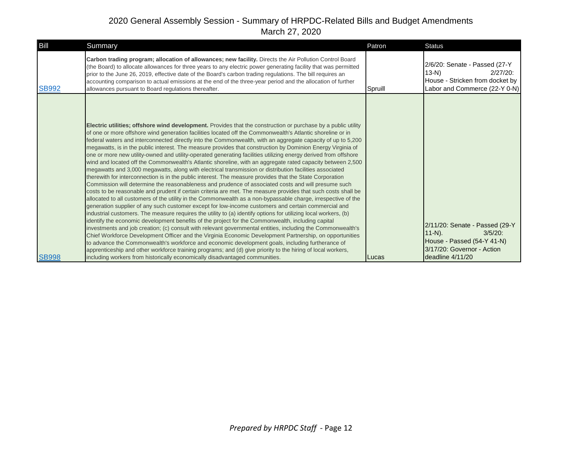| Bill         | Summary                                                                                                                                                                                                                                                                                                                                                                                                                                                                                                                                                                                                                                                                                                                                                                                                                                                                                                                                                                                                                                                                                                                                                                                                                                                                                                                                                                                                                                                                                                                                                                                                                                                                                                                                                                                                                                                                                                                                                                                                                                                                                                               | Patron       | Status                                                                                                                                    |
|--------------|-----------------------------------------------------------------------------------------------------------------------------------------------------------------------------------------------------------------------------------------------------------------------------------------------------------------------------------------------------------------------------------------------------------------------------------------------------------------------------------------------------------------------------------------------------------------------------------------------------------------------------------------------------------------------------------------------------------------------------------------------------------------------------------------------------------------------------------------------------------------------------------------------------------------------------------------------------------------------------------------------------------------------------------------------------------------------------------------------------------------------------------------------------------------------------------------------------------------------------------------------------------------------------------------------------------------------------------------------------------------------------------------------------------------------------------------------------------------------------------------------------------------------------------------------------------------------------------------------------------------------------------------------------------------------------------------------------------------------------------------------------------------------------------------------------------------------------------------------------------------------------------------------------------------------------------------------------------------------------------------------------------------------------------------------------------------------------------------------------------------------|--------------|-------------------------------------------------------------------------------------------------------------------------------------------|
| <b>SB992</b> | Carbon trading program; allocation of allowances; new facility. Directs the Air Pollution Control Board<br>(the Board) to allocate allowances for three years to any electric power generating facility that was permitted<br>prior to the June 26, 2019, effective date of the Board's carbon trading regulations. The bill requires an<br>accounting comparison to actual emissions at the end of the three-year period and the allocation of further<br>allowances pursuant to Board regulations thereafter.                                                                                                                                                                                                                                                                                                                                                                                                                                                                                                                                                                                                                                                                                                                                                                                                                                                                                                                                                                                                                                                                                                                                                                                                                                                                                                                                                                                                                                                                                                                                                                                                       | Spruill      | 2/6/20: Senate - Passed (27-Y)<br>$13-N$<br>$2/27/20$ :<br>House - Stricken from docket by<br>Labor and Commerce (22-Y 0-N)               |
| <b>SB998</b> | Electric utilities; offshore wind development. Provides that the construction or purchase by a public utility<br>of one or more offshore wind generation facilities located off the Commonwealth's Atlantic shoreline or in<br>federal waters and interconnected directly into the Commonwealth, with an aggregate capacity of up to 5,200<br>megawatts, is in the public interest. The measure provides that construction by Dominion Energy Virginia of<br>one or more new utility-owned and utility-operated generating facilities utilizing energy derived from offshore<br>wind and located off the Commonwealth's Atlantic shoreline, with an aggregate rated capacity between 2,500<br>megawatts and 3,000 megawatts, along with electrical transmission or distribution facilities associated<br>therewith for interconnection is in the public interest. The measure provides that the State Corporation<br>Commission will determine the reasonableness and prudence of associated costs and will presume such<br>costs to be reasonable and prudent if certain criteria are met. The measure provides that such costs shall be<br>allocated to all customers of the utility in the Commonwealth as a non-bypassable charge, irrespective of the<br>generation supplier of any such customer except for low-income customers and certain commercial and<br>industrial customers. The measure requires the utility to (a) identify options for utilizing local workers, (b)<br>identify the economic development benefits of the project for the Commonwealth, including capital<br>investments and job creation; (c) consult with relevant governmental entities, including the Commonwealth's<br>Chief Workforce Development Officer and the Virginia Economic Development Partnership, on opportunities<br>to advance the Commonwealth's workforce and economic development goals, including furtherance of<br>apprenticeship and other workforce training programs; and (d) give priority to the hiring of local workers,<br>including workers from historically economically disadvantaged communities. | <b>Lucas</b> | 2/11/20: Senate - Passed (29-Y<br>$11-N$ ).<br>$3/5/20$ :<br>House - Passed (54-Y 41-N)<br>3/17/20: Governor - Action<br>deadline 4/11/20 |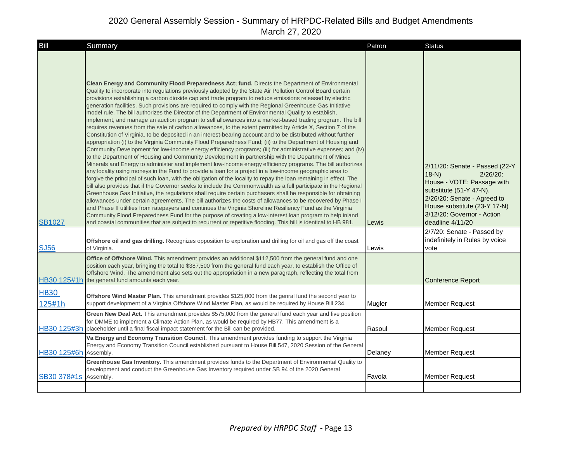| Bill                  | Summary                                                                                                                                                                                                                                                                                                                                                                                                                                                                                                                                                                                                                                                                                                                                                                                                                                                                                                                                                                                                                                                                                                                                                                                                                                                                                                                                                                                                                                                                                                                                                                                                                                                                                                                                                                                                                                                                                                                                                                                                                                                                                                                                                                                                                                                                               | Patron  | <b>Status</b>                                                                                                                                                                                                                     |
|-----------------------|---------------------------------------------------------------------------------------------------------------------------------------------------------------------------------------------------------------------------------------------------------------------------------------------------------------------------------------------------------------------------------------------------------------------------------------------------------------------------------------------------------------------------------------------------------------------------------------------------------------------------------------------------------------------------------------------------------------------------------------------------------------------------------------------------------------------------------------------------------------------------------------------------------------------------------------------------------------------------------------------------------------------------------------------------------------------------------------------------------------------------------------------------------------------------------------------------------------------------------------------------------------------------------------------------------------------------------------------------------------------------------------------------------------------------------------------------------------------------------------------------------------------------------------------------------------------------------------------------------------------------------------------------------------------------------------------------------------------------------------------------------------------------------------------------------------------------------------------------------------------------------------------------------------------------------------------------------------------------------------------------------------------------------------------------------------------------------------------------------------------------------------------------------------------------------------------------------------------------------------------------------------------------------------|---------|-----------------------------------------------------------------------------------------------------------------------------------------------------------------------------------------------------------------------------------|
| <b>SB1027</b>         | Clean Energy and Community Flood Preparedness Act; fund. Directs the Department of Environmental<br>Quality to incorporate into regulations previously adopted by the State Air Pollution Control Board certain<br>provisions establishing a carbon dioxide cap and trade program to reduce emissions released by electric<br>generation facilities. Such provisions are required to comply with the Regional Greenhouse Gas Initiative<br>model rule. The bill authorizes the Director of the Department of Environmental Quality to establish,<br>implement, and manage an auction program to sell allowances into a market-based trading program. The bill<br>requires revenues from the sale of carbon allowances, to the extent permitted by Article X, Section 7 of the<br>Constitution of Virginia, to be deposited in an interest-bearing account and to be distributed without further<br>appropriation (i) to the Virginia Community Flood Preparedness Fund; (ii) to the Department of Housing and<br>Community Development for low-income energy efficiency programs; (iii) for administrative expenses; and (iv)<br>to the Department of Housing and Community Development in partnership with the Department of Mines<br>Minerals and Energy to administer and implement low-income energy efficiency programs. The bill authorizes<br>any locality using moneys in the Fund to provide a loan for a project in a low-income geographic area to<br>forgive the principal of such loan, with the obligation of the locality to repay the loan remaining in effect. The<br>bill also provides that if the Governor seeks to include the Commonwealth as a full participate in the Regional<br>Greenhouse Gas Initiative, the regulations shall require certain purchasers shall be responsible for obtaining<br>allowances under certain agreements. The bill authorizes the costs of allowances to be recovered by Phase I<br>and Phase II utilities from ratepayers and continues the Virginia Shoreline Resiliency Fund as the Virginia<br>Community Flood Preparedness Fund for the purpose of creating a low-interest loan program to help inland<br>and coastal communities that are subject to recurrent or repetitive flooding. This bill is identical to HB 981. | Lewis   | 2/11/20: Senate - Passed (22-Y<br>$18-N$<br>$2/26/20$ :<br>House - VOTE: Passage with<br>substitute (51-Y 47-N).<br>2/26/20: Senate - Agreed to<br>House substitute (23-Y 17-N)<br>3/12/20: Governor - Action<br>deadline 4/11/20 |
| <b>SJ56</b>           | Offshore oil and gas drilling. Recognizes opposition to exploration and drilling for oil and gas off the coast<br>of Virginia.                                                                                                                                                                                                                                                                                                                                                                                                                                                                                                                                                                                                                                                                                                                                                                                                                                                                                                                                                                                                                                                                                                                                                                                                                                                                                                                                                                                                                                                                                                                                                                                                                                                                                                                                                                                                                                                                                                                                                                                                                                                                                                                                                        | Lewis   | 2/7/20: Senate - Passed by<br>indefinitely in Rules by voice<br>vote                                                                                                                                                              |
| HB30 125#1h           | Office of Offshore Wind. This amendment provides an additional \$112,500 from the general fund and one<br>position each year, bringing the total to \$387,500 from the general fund each year, to establish the Office of<br>Offshore Wind. The amendment also sets out the appropriation in a new paragraph, reflecting the total from<br>the general fund amounts each year.                                                                                                                                                                                                                                                                                                                                                                                                                                                                                                                                                                                                                                                                                                                                                                                                                                                                                                                                                                                                                                                                                                                                                                                                                                                                                                                                                                                                                                                                                                                                                                                                                                                                                                                                                                                                                                                                                                        |         | <b>Conference Report</b>                                                                                                                                                                                                          |
| <b>HB30</b><br>125#1h | Offshore Wind Master Plan. This amendment provides \$125,000 from the genral fund the second year to<br>support development of a Virginia Offshore Wind Master Plan, as would be required by House Bill 234.                                                                                                                                                                                                                                                                                                                                                                                                                                                                                                                                                                                                                                                                                                                                                                                                                                                                                                                                                                                                                                                                                                                                                                                                                                                                                                                                                                                                                                                                                                                                                                                                                                                                                                                                                                                                                                                                                                                                                                                                                                                                          | Mugler  | <b>Member Request</b>                                                                                                                                                                                                             |
| HB30 125#3h           | Green New Deal Act. This amendment provides \$575,000 from the general fund each year and five position<br>for DMME to implement a Climate Action Plan, as would be required by HB77. This amendment is a<br>placeholder until a final fiscal impact statement for the Bill can be provided.                                                                                                                                                                                                                                                                                                                                                                                                                                                                                                                                                                                                                                                                                                                                                                                                                                                                                                                                                                                                                                                                                                                                                                                                                                                                                                                                                                                                                                                                                                                                                                                                                                                                                                                                                                                                                                                                                                                                                                                          | Rasoul  | <b>Member Request</b>                                                                                                                                                                                                             |
| HB30 125#6h           | Va Energy and Economy Transition Council. This amendment provides funding to support the Virginia<br>Energy and Economy Transition Council established pursuant to House Bill 547, 2020 Session of the General<br>Assembly.                                                                                                                                                                                                                                                                                                                                                                                                                                                                                                                                                                                                                                                                                                                                                                                                                                                                                                                                                                                                                                                                                                                                                                                                                                                                                                                                                                                                                                                                                                                                                                                                                                                                                                                                                                                                                                                                                                                                                                                                                                                           | Delaney | <b>Member Request</b>                                                                                                                                                                                                             |
| SB30 378#1s           | Greenhouse Gas Inventory. This amendment provides funds to the Department of Environmental Quality to<br>development and conduct the Greenhouse Gas Inventory required under SB 94 of the 2020 General<br>Assembly.                                                                                                                                                                                                                                                                                                                                                                                                                                                                                                                                                                                                                                                                                                                                                                                                                                                                                                                                                                                                                                                                                                                                                                                                                                                                                                                                                                                                                                                                                                                                                                                                                                                                                                                                                                                                                                                                                                                                                                                                                                                                   | Favola  | <b>Member Request</b>                                                                                                                                                                                                             |
|                       |                                                                                                                                                                                                                                                                                                                                                                                                                                                                                                                                                                                                                                                                                                                                                                                                                                                                                                                                                                                                                                                                                                                                                                                                                                                                                                                                                                                                                                                                                                                                                                                                                                                                                                                                                                                                                                                                                                                                                                                                                                                                                                                                                                                                                                                                                       |         |                                                                                                                                                                                                                                   |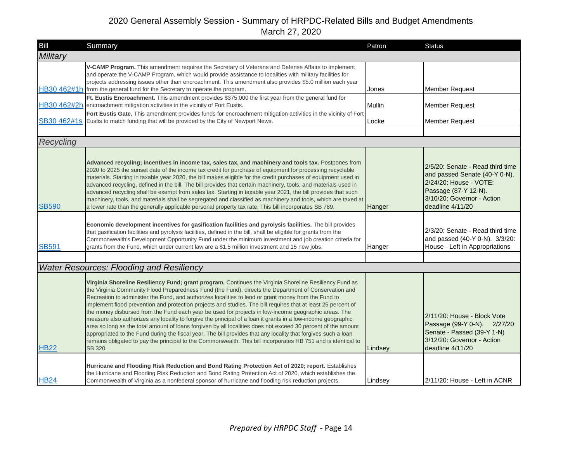| Bill         | Summary                                                                                                                                                                                                                                                                                                                                                                                                                                                                                                                                                                                                                                                                                                                                                                                            | Patron  | <b>Status</b>                                                                                                                                                         |
|--------------|----------------------------------------------------------------------------------------------------------------------------------------------------------------------------------------------------------------------------------------------------------------------------------------------------------------------------------------------------------------------------------------------------------------------------------------------------------------------------------------------------------------------------------------------------------------------------------------------------------------------------------------------------------------------------------------------------------------------------------------------------------------------------------------------------|---------|-----------------------------------------------------------------------------------------------------------------------------------------------------------------------|
| Military     |                                                                                                                                                                                                                                                                                                                                                                                                                                                                                                                                                                                                                                                                                                                                                                                                    |         |                                                                                                                                                                       |
|              | V-CAMP Program. This amendment requires the Secretary of Veterans and Defense Affairs to implement<br>and operate the V-CAMP Program, which would provide assistance to localities with military facilities for<br>projects addressing issues other than encroachment. This amendment also provides \$5.0 million each year<br>HB30 462#1h from the general fund for the Secretary to operate the program.                                                                                                                                                                                                                                                                                                                                                                                         | Jones   | <b>Member Request</b>                                                                                                                                                 |
|              | Ft. Eustis Encroachment. This amendment provides \$375,000 the first year from the general fund for<br>HB30 462#2h encroachment mitigation activities in the vicinity of Fort Eustis.                                                                                                                                                                                                                                                                                                                                                                                                                                                                                                                                                                                                              | Mullin  | <b>Member Request</b>                                                                                                                                                 |
|              | Fort Eustis Gate. This amendment provides funds for encroachment mitigation activities in the vicinity of Fort<br>SB30 462#1s Eustis to match funding that will be provided by the City of Newport News.                                                                                                                                                                                                                                                                                                                                                                                                                                                                                                                                                                                           | Locke   | <b>Member Request</b>                                                                                                                                                 |
|              |                                                                                                                                                                                                                                                                                                                                                                                                                                                                                                                                                                                                                                                                                                                                                                                                    |         |                                                                                                                                                                       |
| Recycling    |                                                                                                                                                                                                                                                                                                                                                                                                                                                                                                                                                                                                                                                                                                                                                                                                    |         |                                                                                                                                                                       |
| <b>SB590</b> | Advanced recycling; incentives in income tax, sales tax, and machinery and tools tax. Postpones from<br>2020 to 2025 the sunset date of the income tax credit for purchase of equipment for processing recyclable<br>materials. Starting in taxable year 2020, the bill makes eligible for the credit purchases of equipment used in<br>advanced recycling, defined in the bill. The bill provides that certain machinery, tools, and materials used in<br>advanced recycling shall be exempt from sales tax. Starting in taxable year 2021, the bill provides that such<br>machinery, tools, and materials shall be segregated and classified as machinery and tools, which are taxed at<br>a lower rate than the generally applicable personal property tax rate. This bill incorporates SB 789. | Hanger  | 2/5/20: Senate - Read third time<br>and passed Senate (40-Y 0-N).<br>2/24/20: House - VOTE:<br>Passage (87-Y 12-N).<br>3/10/20: Governor - Action<br>deadline 4/11/20 |
| <b>SB591</b> | Economic development incentives for gasification facilities and pyrolysis facilities. The bill provides<br>that gasification facilities and pyrolysis facilities, defined in the bill, shall be eligible for grants from the<br>Commonwealth's Development Opportunity Fund under the minimum investment and job creation criteria for<br>grants from the Fund, which under current law are a \$1.5 million investment and 15 new jobs.                                                                                                                                                                                                                                                                                                                                                            | Hanger  | 2/3/20: Senate - Read third time<br>and passed (40-Y 0-N). 3/3/20:<br>House - Left in Appropriations                                                                  |
|              | <b>Water Resources: Flooding and Resiliency</b>                                                                                                                                                                                                                                                                                                                                                                                                                                                                                                                                                                                                                                                                                                                                                    |         |                                                                                                                                                                       |
|              | Virginia Shoreline Resiliency Fund; grant program. Continues the Virginia Shoreline Resiliency Fund as<br>the Virginia Community Flood Preparedness Fund (the Fund), directs the Department of Conservation and<br>Recreation to administer the Fund, and authorizes localities to lend or grant money from the Fund to<br>implement flood prevention and protection projects and studies. The bill requires that at least 25 percent of<br>the money disbursed from the Fund each year be used for projects in low-income geographic areas. The<br>measure also authorizes any locality to forgive the principal of a loan it grants in a low-income geographic                                                                                                                                   |         | 2/11/20: House - Block Vote<br>Passage (99-Y 0-N). 2/27/20:                                                                                                           |
| <b>HB22</b>  | area so long as the total amount of loans forgiven by all localities does not exceed 30 percent of the amount<br>appropriated to the Fund during the fiscal year. The bill provides that any locality that forgives such a loan<br>remains obligated to pay the principal to the Commonwealth. This bill incorporates HB 751 and is identical to<br>SB 320.                                                                                                                                                                                                                                                                                                                                                                                                                                        | Lindsey | Senate - Passed (39-Y 1-N)<br>3/12/20: Governor - Action<br>deadline $4/11/20$                                                                                        |
| <b>HB24</b>  | Hurricane and Flooding Risk Reduction and Bond Rating Protection Act of 2020; report. Establishes<br>the Hurricane and Flooding Risk Reduction and Bond Rating Protection Act of 2020, which establishes the<br>Commonwealth of Virginia as a nonfederal sponsor of hurricane and flooding risk reduction projects.                                                                                                                                                                                                                                                                                                                                                                                                                                                                                | Lindsey | 2/11/20: House - Left in ACNR                                                                                                                                         |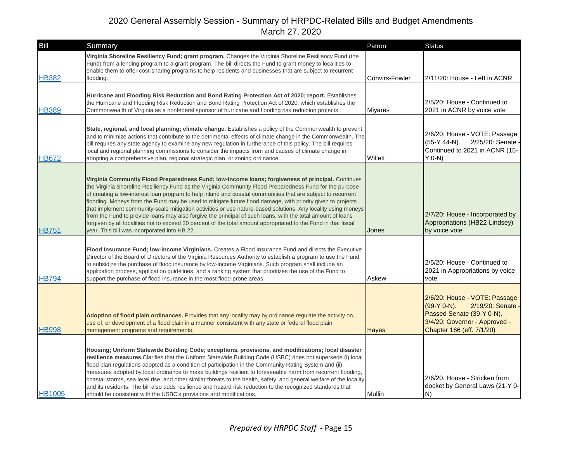| Bill          | Summary                                                                                                                                                                                                                                                                                                                                                                                                                                                                                                                                                                                                                                                                                                                                                                                                                                         | Patron         | <b>Status</b>                                                                                                                                                |
|---------------|-------------------------------------------------------------------------------------------------------------------------------------------------------------------------------------------------------------------------------------------------------------------------------------------------------------------------------------------------------------------------------------------------------------------------------------------------------------------------------------------------------------------------------------------------------------------------------------------------------------------------------------------------------------------------------------------------------------------------------------------------------------------------------------------------------------------------------------------------|----------------|--------------------------------------------------------------------------------------------------------------------------------------------------------------|
| <b>HB382</b>  | Virginia Shoreline Resiliency Fund; grant program. Changes the Virginia Shoreline Resiliency Fund (the<br>Fund) from a lending program to a grant program. The bill directs the Fund to grant money to localities to<br>enable them to offer cost-sharing programs to help residents and businesses that are subject to recurrent<br>flooding.                                                                                                                                                                                                                                                                                                                                                                                                                                                                                                  | Convirs-Fowler | 2/11/20: House - Left in ACNR                                                                                                                                |
| <b>HB389</b>  | Hurricane and Flooding Risk Reduction and Bond Rating Protection Act of 2020; report. Establishes<br>the Hurricane and Flooding Risk Reduction and Bond Rating Protection Act of 2020, which establishes the<br>Commonwealth of Virginia as a nonfederal sponsor of hurricane and flooding risk reduction projects.                                                                                                                                                                                                                                                                                                                                                                                                                                                                                                                             | Miyares        | 2/5/20: House - Continued to<br>2021 in ACNR by voice vote                                                                                                   |
| <b>HB672</b>  | State, regional, and local planning; climate change. Establishes a policy of the Commonwealth to prevent<br>and to minimize actions that contribute to the detrimental effects of climate change in the Commonwealth. The<br>bill requires any state agency to examine any new regulation in furtherance of this policy. The bill requires<br>local and regional planning commissions to consider the impacts from and causes of climate change in<br>adopting a comprehensive plan, regional strategic plan, or zoning ordinance.                                                                                                                                                                                                                                                                                                              | Willett        | 2/6/20: House - VOTE: Passage<br>(55-Y 44-N).<br>2/25/20: Senate<br>Continued to 2021 in ACNR (15-<br>$Y$ 0-N)                                               |
| <b>HB751</b>  | Virginia Community Flood Preparedness Fund; low-income loans; forgiveness of principal. Continues<br>the Virginia Shoreline Resiliency Fund as the Virginia Community Flood Preparedness Fund for the purpose<br>of creating a low-interest loan program to help inland and coastal communities that are subject to recurrent<br>flooding. Moneys from the Fund may be used to mitigate future flood damage, with priority given to projects<br>that implement community-scale mitigation activities or use nature-based solutions. Any locality using moneys<br>from the Fund to provide loans may also forgive the principal of such loans, with the total amount of loans<br>forgiven by all localities not to exceed 30 percent of the total amount appropriated to the Fund in that fiscal<br>year. This bill was incorporated into HB 22. | Jones          | 2/7/20: House - Incorporated by<br>Appropriations (HB22-Lindsey)<br>by voice vote                                                                            |
| <b>HB794</b>  | Flood Insurance Fund; low-income Virginians. Creates a Flood Insurance Fund and directs the Executive<br>Director of the Board of Directors of the Virginia Resources Authority to establish a program to use the Fund<br>to subsidize the purchase of flood insurance by low-income Virginians. Such program shall include an<br>application process, application guidelines, and a ranking system that prioritizes the use of the Fund to<br>support the purchase of flood insurance in the most flood-prone areas.                                                                                                                                                                                                                                                                                                                           | Askew          | 2/5/20: House - Continued to<br>2021 in Appropriations by voice<br>vote                                                                                      |
| <b>HB998</b>  | Adoption of flood plain ordinances. Provides that any locality may by ordinance regulate the activity on,<br>use of, or development of a flood plain in a manner consistent with any state or federal flood plain<br>management programs and requirements.                                                                                                                                                                                                                                                                                                                                                                                                                                                                                                                                                                                      | <b>Hayes</b>   | 2/6/20: House - VOTE: Passage<br>(99-Y 0-N).<br>2/19/20: Senate -<br>Passed Senate (39-Y 0-N).<br>3/4/20: Governor - Approved -<br>Chapter 166 (eff. 7/1/20) |
| <b>HB1005</b> | Housing; Uniform Statewide Building Code; exceptions, provisions, and modifications; local disaster<br>resilience measures. Clarifies that the Uniform Statewide Building Code (USBC) does not supersede (i) local<br>flood plan regulations adopted as a condition of participation in the Community Rating System and (ii)<br>measures adopted by local ordinance to make buildings resilient to foreseeable harm from recurrent flooding,<br>coastal storms, sea level rise, and other similar threats to the health, safety, and general welfare of the locality<br>and its residents. The bill also adds resilience and hazard risk reduction to the recognized standards that<br>should be consistent with the USBC's provisions and modifications.                                                                                       | <b>Mullin</b>  | 2/6/20: House - Stricken from<br>docket by General Laws (21-Y 0-<br>N)                                                                                       |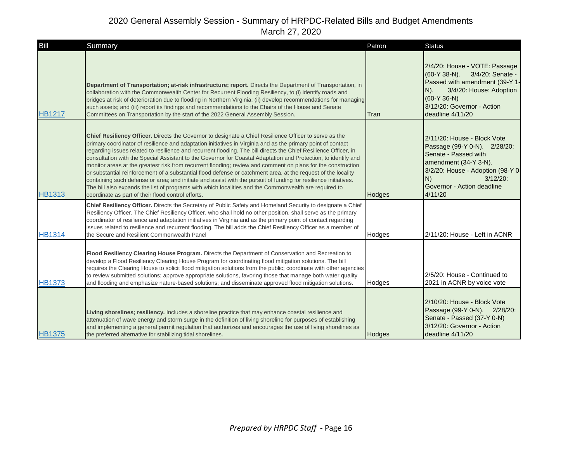| Bill          | Summary                                                                                                                                                                                                                                                                                                                                                                                                                                                                                                                                                                                                                                                                                                                                                                                                                                                                                                                                                                          | Patron | <b>Status</b>                                                                                                                                                                                                   |
|---------------|----------------------------------------------------------------------------------------------------------------------------------------------------------------------------------------------------------------------------------------------------------------------------------------------------------------------------------------------------------------------------------------------------------------------------------------------------------------------------------------------------------------------------------------------------------------------------------------------------------------------------------------------------------------------------------------------------------------------------------------------------------------------------------------------------------------------------------------------------------------------------------------------------------------------------------------------------------------------------------|--------|-----------------------------------------------------------------------------------------------------------------------------------------------------------------------------------------------------------------|
| <b>HB1217</b> | Department of Transportation; at-risk infrastructure; report. Directs the Department of Transportation, in<br>collaboration with the Commonwealth Center for Recurrent Flooding Resiliency, to (i) identify roads and<br>bridges at risk of deterioration due to flooding in Northern Virginia; (ii) develop recommendations for managing<br>such assets; and (iii) report its findings and recommendations to the Chairs of the House and Senate<br>Committees on Transportation by the start of the 2022 General Assembly Session.                                                                                                                                                                                                                                                                                                                                                                                                                                             | Tran   | 2/4/20: House - VOTE: Passage<br>(60-Y 38-N). 3/4/20: Senate -<br>Passed with amendment (39-Y 1-<br>3/4/20: House: Adoption<br>$N$ ).<br>$(60-Y 36-N)$<br>3/12/20: Governor - Action<br>deadline 4/11/20        |
| <b>HB1313</b> | Chief Resiliency Officer. Directs the Governor to designate a Chief Resilience Officer to serve as the<br>primary coordinator of resilience and adaptation initiatives in Virginia and as the primary point of contact<br>regarding issues related to resilience and recurrent flooding. The bill directs the Chief Resilience Officer, in<br>consultation with the Special Assistant to the Governor for Coastal Adaptation and Protection, to identify and<br>monitor areas at the greatest risk from recurrent flooding; review and comment on plans for the construction<br>or substantial reinforcement of a substantial flood defense or catchment area, at the request of the locality<br>containing such defense or area; and initiate and assist with the pursuit of funding for resilience initiatives.<br>The bill also expands the list of programs with which localities and the Commonwealth are required to<br>coordinate as part of their flood control efforts. | Hodges | 2/11/20: House - Block Vote<br>Passage (99-Y 0-N). 2/28/20:<br>Senate - Passed with<br>amendment (34-Y 3-N).<br>3/2/20: House - Adoption (98-Y 0-<br>N)<br>$3/12/20$ :<br>Governor - Action deadline<br>4/11/20 |
| <b>HB1314</b> | Chief Resiliency Officer. Directs the Secretary of Public Safety and Homeland Security to designate a Chief<br>Resiliency Officer. The Chief Resiliency Officer, who shall hold no other position, shall serve as the primary<br>coordinator of resilience and adaptation initiatives in Virginia and as the primary point of contact regarding<br>issues related to resilience and recurrent flooding. The bill adds the Chief Resiliency Officer as a member of<br>the Secure and Resilient Commonwealth Panel                                                                                                                                                                                                                                                                                                                                                                                                                                                                 | Hodges | 2/11/20: House - Left in ACNR                                                                                                                                                                                   |
| <b>HB1373</b> | Flood Resiliency Clearing House Program. Directs the Department of Conservation and Recreation to<br>develop a Flood Resiliency Clearing House Program for coordinating flood mitigation solutions. The bill<br>requires the Clearing House to solicit flood mitigation solutions from the public; coordinate with other agencies<br>to review submitted solutions; approve appropriate solutions, favoring those that manage both water quality<br>and flooding and emphasize nature-based solutions; and disseminate approved flood mitigation solutions.                                                                                                                                                                                                                                                                                                                                                                                                                      | Hodges | 2/5/20: House - Continued to<br>2021 in ACNR by voice vote                                                                                                                                                      |
| <b>HB1375</b> | Living shorelines; resiliency. Includes a shoreline practice that may enhance coastal resilience and<br>attenuation of wave energy and storm surge in the definition of living shoreline for purposes of establishing<br>and implementing a general permit regulation that authorizes and encourages the use of living shorelines as<br>the preferred alternative for stabilizing tidal shorelines.                                                                                                                                                                                                                                                                                                                                                                                                                                                                                                                                                                              | Hodges | 2/10/20: House - Block Vote<br>Passage (99-Y 0-N). 2/28/20:<br>Senate - Passed (37-Y 0-N)<br>3/12/20: Governor - Action<br>deadline 4/11/20                                                                     |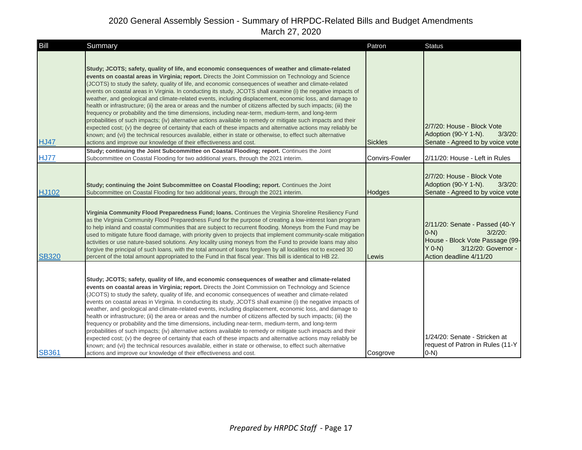| Bill         | Summary                                                                                                                                                                                                                                                                                                                                                                                                                                                                                                                                                                                                                                                                                                                                                                                                                                                                                                                                                                                                                                                                                                                                                                                       | Patron         | <b>Status</b>                                                                                                                                            |
|--------------|-----------------------------------------------------------------------------------------------------------------------------------------------------------------------------------------------------------------------------------------------------------------------------------------------------------------------------------------------------------------------------------------------------------------------------------------------------------------------------------------------------------------------------------------------------------------------------------------------------------------------------------------------------------------------------------------------------------------------------------------------------------------------------------------------------------------------------------------------------------------------------------------------------------------------------------------------------------------------------------------------------------------------------------------------------------------------------------------------------------------------------------------------------------------------------------------------|----------------|----------------------------------------------------------------------------------------------------------------------------------------------------------|
| <b>HJ47</b>  | Study; JCOTS; safety, quality of life, and economic consequences of weather and climate-related<br>events on coastal areas in Virginia; report. Directs the Joint Commission on Technology and Science<br>(JCOTS) to study the safety, quality of life, and economic consequences of weather and climate-related<br>events on coastal areas in Virginia. In conducting its study, JCOTS shall examine (i) the negative impacts of<br>weather, and geological and climate-related events, including displacement, economic loss, and damage to<br>health or infrastructure; (ii) the area or areas and the number of citizens affected by such impacts; (iii) the<br>frequency or probability and the time dimensions, including near-term, medium-term, and long-term<br>probabilities of such impacts; (iv) alternative actions available to remedy or mitigate such impacts and their<br>expected cost; (v) the degree of certainty that each of these impacts and alternative actions may reliably be<br>known; and (vi) the technical resources available, either in state or otherwise, to effect such alternative<br>actions and improve our knowledge of their effectiveness and cost. | <b>Sickles</b> | 2/7/20: House - Block Vote<br>Adoption (90-Y 1-N).<br>$3/3/20$ :<br>Senate - Agreed to by voice vote                                                     |
| <b>HJ77</b>  | Study; continuing the Joint Subcommittee on Coastal Flooding; report. Continues the Joint<br>Subcommittee on Coastal Flooding for two additional years, through the 2021 interim.                                                                                                                                                                                                                                                                                                                                                                                                                                                                                                                                                                                                                                                                                                                                                                                                                                                                                                                                                                                                             | Convirs-Fowler | 2/11/20: House - Left in Rules                                                                                                                           |
| <b>HJ102</b> | Study; continuing the Joint Subcommittee on Coastal Flooding; report. Continues the Joint<br>Subcommittee on Coastal Flooding for two additional years, through the 2021 interim.                                                                                                                                                                                                                                                                                                                                                                                                                                                                                                                                                                                                                                                                                                                                                                                                                                                                                                                                                                                                             | Hodges         | 2/7/20: House - Block Vote<br>Adoption (90-Y 1-N).<br>$3/3/20$ :<br>Senate - Agreed to by voice vote                                                     |
| <b>SB320</b> | Virginia Community Flood Preparedness Fund; Ioans. Continues the Virginia Shoreline Resiliency Fund<br>as the Virginia Community Flood Preparedness Fund for the purpose of creating a low-interest loan program<br>to help inland and coastal communities that are subject to recurrent flooding. Moneys from the Fund may be<br>used to mitigate future flood damage, with priority given to projects that implement community-scale mitigation<br>activities or use nature-based solutions. Any locality using moneys from the Fund to provide loans may also<br>forgive the principal of such loans, with the total amount of loans forgiven by all localities not to exceed 30<br>percent of the total amount appropriated to the Fund in that fiscal year. This bill is identical to HB 22.                                                                                                                                                                                                                                                                                                                                                                                             | Lewis          | 2/11/20: Senate - Passed (40-Y<br>$3/2/20$ :<br>$(0-N)$<br>House - Block Vote Passage (99-<br>$Y$ 0-N)<br>3/12/20: Governor -<br>Action deadline 4/11/20 |
| <b>SB361</b> | Study; JCOTS; safety, quality of life, and economic consequences of weather and climate-related<br>events on coastal areas in Virginia; report. Directs the Joint Commission on Technology and Science<br>(JCOTS) to study the safety, quality of life, and economic consequences of weather and climate-related<br>events on coastal areas in Virginia. In conducting its study, JCOTS shall examine (i) the negative impacts of<br>weather, and geological and climate-related events, including displacement, economic loss, and damage to<br>health or infrastructure; (ii) the area or areas and the number of citizens affected by such impacts; (iii) the<br>frequency or probability and the time dimensions, including near-term, medium-term, and long-term<br>probabilities of such impacts; (iv) alternative actions available to remedy or mitigate such impacts and their<br>expected cost; (v) the degree of certainty that each of these impacts and alternative actions may reliably be<br>known; and (vi) the technical resources available, either in state or otherwise, to effect such alternative<br>actions and improve our knowledge of their effectiveness and cost. | Cosgrove       | 1/24/20: Senate - Stricken at<br>request of Patron in Rules (11-Y)<br>$(0-N)$                                                                            |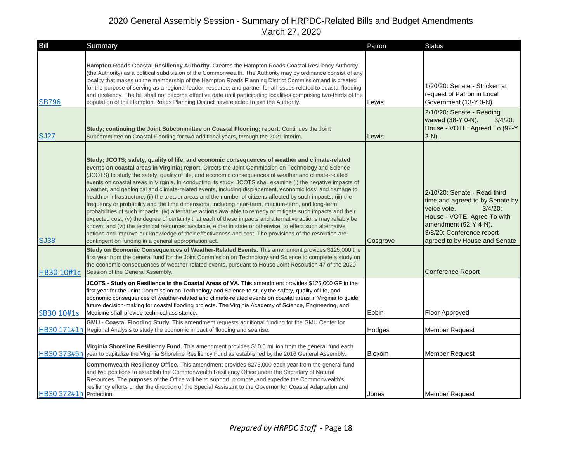| Bill                    | Summary                                                                                                                                                                                                                                                                                                                                                                                                                                                                                                                                                                                                                                                                                                                                                                                                                                                                                                                                                                                                                                                                                                                                                                                                                                                                                     | Patron   | <b>Status</b>                                                                                                                                                                                                      |
|-------------------------|---------------------------------------------------------------------------------------------------------------------------------------------------------------------------------------------------------------------------------------------------------------------------------------------------------------------------------------------------------------------------------------------------------------------------------------------------------------------------------------------------------------------------------------------------------------------------------------------------------------------------------------------------------------------------------------------------------------------------------------------------------------------------------------------------------------------------------------------------------------------------------------------------------------------------------------------------------------------------------------------------------------------------------------------------------------------------------------------------------------------------------------------------------------------------------------------------------------------------------------------------------------------------------------------|----------|--------------------------------------------------------------------------------------------------------------------------------------------------------------------------------------------------------------------|
| <b>SB796</b>            | Hampton Roads Coastal Resiliency Authority. Creates the Hampton Roads Coastal Resiliency Authority<br>(the Authority) as a political subdivision of the Commonwealth. The Authority may by ordinance consist of any<br>locality that makes up the membership of the Hampton Roads Planning District Commission and is created<br>for the purpose of serving as a regional leader, resource, and partner for all issues related to coastal flooding<br>and resiliency. The bill shall not become effective date until participating localities comprising two-thirds of the<br>population of the Hampton Roads Planning District have elected to join the Authority.                                                                                                                                                                                                                                                                                                                                                                                                                                                                                                                                                                                                                         | Lewis    | 1/20/20: Senate - Stricken at<br>request of Patron in Local<br>Government (13-Y 0-N)                                                                                                                               |
| <b>SJ27</b>             | Study; continuing the Joint Subcommittee on Coastal Flooding; report. Continues the Joint<br>Subcommittee on Coastal Flooding for two additional years, through the 2021 interim.                                                                                                                                                                                                                                                                                                                                                                                                                                                                                                                                                                                                                                                                                                                                                                                                                                                                                                                                                                                                                                                                                                           | Lewis    | 2/10/20: Senate - Reading<br>$3/4/20$ :<br>waived (38-Y 0-N).<br>House - VOTE: Agreed To (92-Y<br>$2-N$ ).                                                                                                         |
| <b>SJ38</b>             | Study; JCOTS; safety, quality of life, and economic consequences of weather and climate-related<br>events on coastal areas in Virginia; report. Directs the Joint Commission on Technology and Science<br>(JCOTS) to study the safety, quality of life, and economic consequences of weather and climate-related<br>events on coastal areas in Virginia. In conducting its study, JCOTS shall examine (i) the negative impacts of<br>weather, and geological and climate-related events, including displacement, economic loss, and damage to<br>health or infrastructure; (ii) the area or areas and the number of citizens affected by such impacts; (iii) the<br>frequency or probability and the time dimensions, including near-term, medium-term, and long-term<br>probabilities of such impacts; (iv) alternative actions available to remedy or mitigate such impacts and their<br>expected cost; (v) the degree of certainty that each of these impacts and alternative actions may reliably be<br>known; and (vi) the technical resources available, either in state or otherwise, to effect such alternative<br>actions and improve our knowledge of their effectiveness and cost. The provisions of the resolution are<br>contingent on funding in a general appropriation act. | Cosgrove | 2/10/20: Senate - Read third<br>time and agreed to by Senate by<br>voice vote.<br>$3/4/20$ :<br>House - VOTE: Agree To with<br>amendment (92-Y 4-N).<br>3/8/20: Conference report<br>agreed to by House and Senate |
| HB30 10#1c              | Study on Economic Consequences of Weather-Related Events. This amendment provides \$125,000 the<br>first year from the general fund for the Joint Commission on Technology and Science to complete a study on<br>the economic consequences of weather-related events, pursuant to House Joint Resolution 47 of the 2020<br>Session of the General Assembly.                                                                                                                                                                                                                                                                                                                                                                                                                                                                                                                                                                                                                                                                                                                                                                                                                                                                                                                                 |          | <b>Conference Report</b>                                                                                                                                                                                           |
| SB30 10#1s              | JCOTS - Study on Resilience in the Coastal Areas of VA. This amendment provides \$125,000 GF in the<br>first year for the Joint Commission on Technology and Science to study the safety, quality of life, and<br>economic consequences of weather-related and climate-related events on coastal areas in Virginia to guide<br>future decision-making for coastal flooding projects. The Virginia Academy of Science, Engineering, and<br>Medicine shall provide technical assistance.                                                                                                                                                                                                                                                                                                                                                                                                                                                                                                                                                                                                                                                                                                                                                                                                      | Ebbin    | Floor Approved                                                                                                                                                                                                     |
|                         | GMU - Coastal Flooding Study. This amendment requests additional funding for the GMU Center for<br>HB30 171#1h Regional Analysis to study the economic impact of flooding and sea rise.                                                                                                                                                                                                                                                                                                                                                                                                                                                                                                                                                                                                                                                                                                                                                                                                                                                                                                                                                                                                                                                                                                     | Hodges   | <b>Member Request</b>                                                                                                                                                                                              |
|                         | Virginia Shoreline Resiliency Fund. This amendment provides \$10.0 million from the general fund each<br>HB30 373#5h year to capitalize the Virginia Shoreline Resiliency Fund as established by the 2016 General Assembly.                                                                                                                                                                                                                                                                                                                                                                                                                                                                                                                                                                                                                                                                                                                                                                                                                                                                                                                                                                                                                                                                 | Bloxom   | Member Request                                                                                                                                                                                                     |
| HB30 372#1h Protection. | <b>Commonwealth Resiliency Office.</b> This amendment provides \$275,000 each year from the general fund<br>and two positions to establish the Commonwealth Resiliency Office under the Secretary of Natural<br>Resources. The purposes of the Office will be to support, promote, and expedite the Commonwealth's<br>resiliency efforts under the direction of the Special Assistant to the Governor for Coastal Adaptation and                                                                                                                                                                                                                                                                                                                                                                                                                                                                                                                                                                                                                                                                                                                                                                                                                                                            | Jones    | <b>Member Request</b>                                                                                                                                                                                              |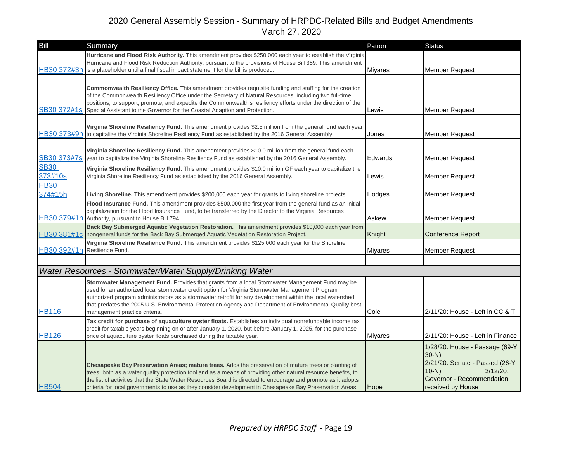| Bill                   | Summary                                                                                                                                                                                                                                                                                                                                                                                                                                                       | Patron         | <b>Status</b>                                                                                                                                              |
|------------------------|---------------------------------------------------------------------------------------------------------------------------------------------------------------------------------------------------------------------------------------------------------------------------------------------------------------------------------------------------------------------------------------------------------------------------------------------------------------|----------------|------------------------------------------------------------------------------------------------------------------------------------------------------------|
|                        | Hurricane and Flood Risk Authority. This amendment provides \$250,000 each year to establish the Virginia<br>Hurricane and Flood Risk Reduction Authority, pursuant to the provisions of House Bill 389. This amendment<br>HB30 372#3h is a placeholder until a final fiscal impact statement for the bill is produced.                                                                                                                                       | <b>Miyares</b> | <b>Member Request</b>                                                                                                                                      |
| SB30 372#1s            | Commonwealth Resiliency Office. This amendment provides requisite funding and staffing for the creation<br>of the Commonwealth Resiliency Office under the Secretary of Natural Resources, including two full-time<br>positions, to support, promote, and expedite the Commonwealth's resiliency efforts under the direction of the<br>Special Assistant to the Governor for the Coastal Adaption and Protection.                                             | Lewis          | <b>Member Request</b>                                                                                                                                      |
|                        | Virginia Shoreline Resiliency Fund. This amendment provides \$2.5 million from the general fund each year<br>HB30 373#9h to capitalize the Virginia Shoreline Resiliency Fund as established by the 2016 General Assembly.                                                                                                                                                                                                                                    | Jones          | <b>Member Request</b>                                                                                                                                      |
| SB30 373#7s            | Virginia Shoreline Resiliency Fund. This amendment provides \$10.0 million from the general fund each<br>year to capitalize the Virginia Shoreline Resiliency Fund as established by the 2016 General Assembly.                                                                                                                                                                                                                                               | Edwards        | <b>Member Request</b>                                                                                                                                      |
| <b>SB30</b><br>373#10s | Virginia Shoreline Resiliency Fund. This amendment provides \$10.0 million GF each year to capitalize the<br>Virginia Shoreline Resiliency Fund as established by the 2016 General Assembly.                                                                                                                                                                                                                                                                  | Lewis          | <b>Member Request</b>                                                                                                                                      |
| <b>HB30</b><br>374#15h | Living Shoreline. This amendment provides \$200,000 each year for grants to living shoreline projects.                                                                                                                                                                                                                                                                                                                                                        | Hodges         | <b>Member Request</b>                                                                                                                                      |
|                        | Flood Insurance Fund. This amendment provides \$500,000 the first year from the general fund as an initial<br>capitalization for the Flood Insurance Fund, to be transferred by the Director to the Virginia Resources<br>HB30 379#1h Authority, pursuant to House Bill 794.                                                                                                                                                                                  | Askew          | <b>Member Request</b>                                                                                                                                      |
|                        | Back Bay Submerged Aquatic Vegetation Restoration. This amendment provides \$10,000 each year from<br>HB30 381#1c nongeneral funds for the Back Bay Submerged Aquatic Vegetation Restoration Project.                                                                                                                                                                                                                                                         | Knight         | <b>Conference Report</b>                                                                                                                                   |
|                        | Virginia Shoreline Resilience Fund. This amendment provides \$125,000 each year for the Shoreline<br>HB30 392#1h Resliience Fund.                                                                                                                                                                                                                                                                                                                             | <b>Mivares</b> | <b>Member Request</b>                                                                                                                                      |
|                        |                                                                                                                                                                                                                                                                                                                                                                                                                                                               |                |                                                                                                                                                            |
|                        | Water Resources - Stormwater/Water Supply/Drinking Water                                                                                                                                                                                                                                                                                                                                                                                                      |                |                                                                                                                                                            |
| <b>HB116</b>           | Stormwater Management Fund. Provides that grants from a local Stormwater Management Fund may be<br>used for an authorized local stormwater credit option for Virginia Stormwater Management Program<br>authorized program administrators as a stormwater retrofit for any development within the local watershed<br>that predates the 2005 U.S. Environmental Protection Agency and Department of Environmental Quality best<br>management practice criteria. | Cole           | 2/11/20: House - Left in CC & T                                                                                                                            |
| <b>HB126</b>           | Tax credit for purchase of aquaculture oyster floats. Establishes an individual nonrefundable income tax<br>credit for taxable years beginning on or after January 1, 2020, but before January 1, 2025, for the purchase<br>price of aquaculture oyster floats purchased during the taxable year.                                                                                                                                                             | <b>Miyares</b> | 2/11/20: House - Left in Finance                                                                                                                           |
| <b>HB504</b>           | Chesapeake Bay Preservation Areas; mature trees. Adds the preservation of mature trees or planting of<br>trees, both as a water quality protection tool and as a means of providing other natural resource benefits, to<br>the list of activities that the State Water Resources Board is directed to encourage and promote as it adopts<br>criteria for local governments to use as they consider development in Chesapeake Bay Preservation Areas.          | Hope           | 1/28/20: House - Passage (69-Y<br>$30-N$ )<br>2/21/20: Senate - Passed (26-Y<br>$3/12/20$ :<br>$10-N$ ).<br>Governor - Recommendation<br>received by House |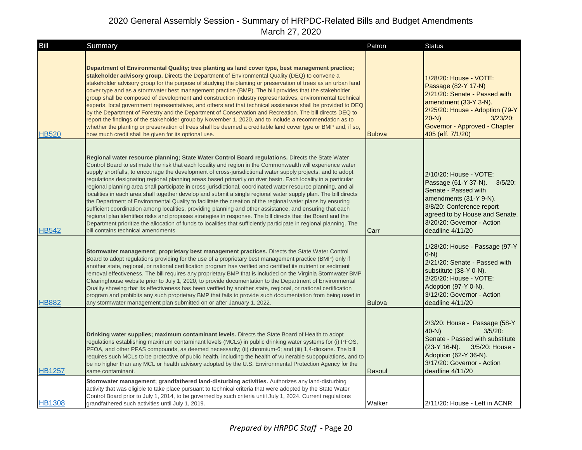| Bill          | Summary                                                                                                                                                                                                                                                                                                                                                                                                                                                                                                                                                                                                                                                                                                                                                                                                                                                                                                                                                                                                                                                                                                                                                                                     | Patron        | <b>Status</b>                                                                                                                                                                                                               |
|---------------|---------------------------------------------------------------------------------------------------------------------------------------------------------------------------------------------------------------------------------------------------------------------------------------------------------------------------------------------------------------------------------------------------------------------------------------------------------------------------------------------------------------------------------------------------------------------------------------------------------------------------------------------------------------------------------------------------------------------------------------------------------------------------------------------------------------------------------------------------------------------------------------------------------------------------------------------------------------------------------------------------------------------------------------------------------------------------------------------------------------------------------------------------------------------------------------------|---------------|-----------------------------------------------------------------------------------------------------------------------------------------------------------------------------------------------------------------------------|
| <b>HB520</b>  | Department of Environmental Quality; tree planting as land cover type, best management practice;<br>stakeholder advisory group. Directs the Department of Environmental Quality (DEQ) to convene a<br>stakeholder advisory group for the purpose of studying the planting or preservation of trees as an urban land<br>cover type and as a stormwater best management practice (BMP). The bill provides that the stakeholder<br>group shall be composed of development and construction industry representatives, environmental technical<br>experts, local government representatives, and others and that technical assistance shall be provided to DEQ<br>by the Department of Forestry and the Department of Conservation and Recreation. The bill directs DEQ to<br>report the findings of the stakeholder group by November 1, 2020, and to include a recommendation as to<br>whether the planting or preservation of trees shall be deemed a creditable land cover type or BMP and, if so,<br>how much credit shall be given for its optional use.                                                                                                                                   | <b>Bulova</b> | 1/28/20: House - VOTE:<br>Passage (82-Y 17-N)<br>2/21/20: Senate - Passed with<br>amendment (33-Y 3-N).<br>2/25/20: House - Adoption (79-Y<br>$3/23/20$ :<br>$20-N$ )<br>Governor - Approved - Chapter<br>405 (eff. 7/1/20) |
| <b>HB542</b>  | Regional water resource planning; State Water Control Board regulations. Directs the State Water<br>Control Board to estimate the risk that each locality and region in the Commonwealth will experience water<br>supply shortfalls, to encourage the development of cross-jurisdictional water supply projects, and to adopt<br>regulations designating regional planning areas based primarily on river basin. Each locality in a particular<br>regional planning area shall participate in cross-jurisdictional, coordinated water resource planning, and all<br>localities in each area shall together develop and submit a single regional water supply plan. The bill directs<br>the Department of Environmental Quality to facilitate the creation of the regional water plans by ensuring<br>sufficient coordination among localities, providing planning and other assistance, and ensuring that each<br>regional plan identifies risks and proposes strategies in response. The bill directs that the Board and the<br>Department prioritize the allocation of funds to localities that sufficiently participate in regional planning. The<br>bill contains technical amendments. | Carr          | 2/10/20: House - VOTE:<br>Passage (61-Y 37-N). 3/5/20:<br>Senate - Passed with<br>amendments (31-Y 9-N).<br>3/8/20: Conference report<br>agreed to by House and Senate.<br>3/20/20: Governor - Action<br>deadline 4/11/20   |
| <b>HB882</b>  | Stormwater management; proprietary best management practices. Directs the State Water Control<br>Board to adopt regulations providing for the use of a proprietary best management practice (BMP) only if<br>another state, regional, or national certification program has verified and certified its nutrient or sediment<br>removal effectiveness. The bill requires any proprietary BMP that is included on the Virginia Stormwater BMP<br>Clearinghouse website prior to July 1, 2020, to provide documentation to the Department of Environmental<br>Quality showing that its effectiveness has been verified by another state, regional, or national certification<br>program and prohibits any such proprietary BMP that fails to provide such documentation from being used in<br>any stormwater management plan submitted on or after January 1, 2022.                                                                                                                                                                                                                                                                                                                            | <b>Bulova</b> | 1/28/20: House - Passage (97-Y<br>$O-N$<br>2/21/20: Senate - Passed with<br>substitute (38-Y 0-N).<br>2/25/20: House - VOTE:<br>Adoption (97-Y 0-N).<br>3/12/20: Governor - Action<br>deadline 4/11/20                      |
| <b>HB1257</b> | Drinking water supplies; maximum contaminant levels. Directs the State Board of Health to adopt<br>regulations establishing maximum contaminant levels (MCLs) in public drinking water systems for (i) PFOS,<br>PFOA, and other PFAS compounds, as deemed necessarily; (ii) chromium-6; and (iii) 1,4-dioxane. The bill<br>requires such MCLs to be protective of public health, including the health of vulnerable subpopulations, and to<br>be no higher than any MCL or health advisory adopted by the U.S. Environmental Protection Agency for the<br>same contaminant.                                                                                                                                                                                                                                                                                                                                                                                                                                                                                                                                                                                                                 | Rasoul        | 2/3/20: House - Passage (58-Y<br>$40-N$ )<br>$3/5/20$ :<br>Senate - Passed with substitute<br>$(23-Y 16-N)$ .<br>3/5/20: House -<br>Adoption (62-Y 36-N).<br>3/17/20: Governor - Action<br>deadline 4/11/20                 |
| <b>HB1308</b> | Stormwater management; grandfathered land-disturbing activities. Authorizes any land-disturbing<br>activity that was eligible to take place pursuant to technical criteria that were adopted by the State Water<br>Control Board prior to July 1, 2014, to be governed by such criteria until July 1, 2024. Current regulations<br>grandfathered such activities until July 1, 2019.                                                                                                                                                                                                                                                                                                                                                                                                                                                                                                                                                                                                                                                                                                                                                                                                        | Walker        | 2/11/20: House - Left in ACNR                                                                                                                                                                                               |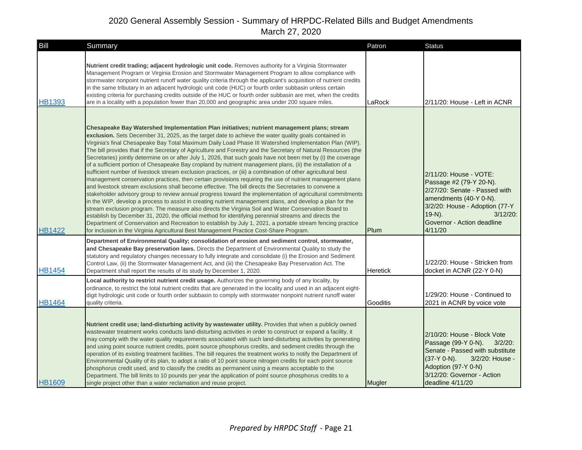| Bill          | Summary                                                                                                                                                                                                                                                                                                                                                                                                                                                                                                                                                                                                                                                                                                                                                                                                                                                                                                                                                                                                                                                                                                                                                                                                                                                                                                                                                                                                                                                                                                                                                                                                                                                        | Patron          | <b>Status</b>                                                                                                                                                                                                       |
|---------------|----------------------------------------------------------------------------------------------------------------------------------------------------------------------------------------------------------------------------------------------------------------------------------------------------------------------------------------------------------------------------------------------------------------------------------------------------------------------------------------------------------------------------------------------------------------------------------------------------------------------------------------------------------------------------------------------------------------------------------------------------------------------------------------------------------------------------------------------------------------------------------------------------------------------------------------------------------------------------------------------------------------------------------------------------------------------------------------------------------------------------------------------------------------------------------------------------------------------------------------------------------------------------------------------------------------------------------------------------------------------------------------------------------------------------------------------------------------------------------------------------------------------------------------------------------------------------------------------------------------------------------------------------------------|-----------------|---------------------------------------------------------------------------------------------------------------------------------------------------------------------------------------------------------------------|
| <b>HB1393</b> | Nutrient credit trading; adjacent hydrologic unit code. Removes authority for a Virginia Stormwater<br>Management Program or Virginia Erosion and Stormwater Management Program to allow compliance with<br>stormwater nonpoint nutrient runoff water quality criteria through the applicant's acquisition of nutrient credits<br>in the same tributary in an adjacent hydrologic unit code (HUC) or fourth order subbasin unless certain<br>existing criteria for purchasing credits outside of the HUC or fourth order subbasin are met, when the credits<br>are in a locality with a population fewer than 20,000 and geographic area under 200 square miles.                                                                                                                                                                                                                                                                                                                                                                                                                                                                                                                                                                                                                                                                                                                                                                                                                                                                                                                                                                                               | LaRock          | 2/11/20: House - Left in ACNR                                                                                                                                                                                       |
| <b>HB1422</b> | Chesapeake Bay Watershed Implementation Plan initiatives; nutrient management plans; stream<br>exclusion. Sets December 31, 2025, as the target date to achieve the water quality goals contained in<br>Virginia's final Chesapeake Bay Total Maximum Daily Load Phase III Watershed Implementation Plan (WIP).<br>The bill provides that if the Secretary of Agriculture and Forestry and the Secretary of Natural Resources (the<br>Secretaries) jointly determine on or after July 1, 2026, that such goals have not been met by (i) the coverage<br>of a sufficient portion of Chesapeake Bay cropland by nutrient management plans, (ii) the installation of a<br>sufficient number of livestock stream exclusion practices, or (iii) a combination of other agricultural best<br>management conservation practices, then certain provisions requiring the use of nutrient management plans<br>and livestock stream exclusions shall become effective. The bill directs the Secretaries to convene a<br>stakeholder advisory group to review annual progress toward the implementation of agricultural commitments<br>in the WIP, develop a process to assist in creating nutrient management plans, and develop a plan for the<br>stream exclusion program. The measure also directs the Virginia Soil and Water Conservation Board to<br>establish by December 31, 2020, the official method for identifying perennial streams and directs the<br>Department of Conservation and Recreation to establish by July 1, 2021, a portable stream fencing practice<br>for inclusion in the Virginia Agricultural Best Management Practice Cost-Share Program. | Plum            | 2/11/20: House - VOTE:<br>Passage #2 (79-Y 20-N).<br>2/27/20: Senate - Passed with<br>amendments (40-Y 0-N).<br>3/2/20: House - Adoption (77-Y<br>$19-N$ ).<br>$3/12/20$ :<br>Governor - Action deadline<br>4/11/20 |
| <b>HB1454</b> | Department of Environmental Quality; consolidation of erosion and sediment control, stormwater,<br>and Chesapeake Bay preservation laws. Directs the Department of Environmental Quality to study the<br>statutory and regulatory changes necessary to fully integrate and consolidate (i) the Erosion and Sediment<br>Control Law, (ii) the Stormwater Management Act, and (iii) the Chesapeake Bay Preservation Act. The<br>Department shall report the results of its study by December 1, 2020.                                                                                                                                                                                                                                                                                                                                                                                                                                                                                                                                                                                                                                                                                                                                                                                                                                                                                                                                                                                                                                                                                                                                                            | <b>Heretick</b> | 1/22/20: House - Stricken from<br>docket in ACNR (22-Y 0-N)                                                                                                                                                         |
| <b>HB1464</b> | Local authority to restrict nutrient credit usage. Authorizes the governing body of any locality, by<br>ordinance, to restrict the total nutrient credits that are generated in the locality and used in an adjacent eight-<br>digit hydrologic unit code or fourth order subbasin to comply with stormwater nonpoint nutrient runoff water<br>quality criteria.                                                                                                                                                                                                                                                                                                                                                                                                                                                                                                                                                                                                                                                                                                                                                                                                                                                                                                                                                                                                                                                                                                                                                                                                                                                                                               | Gooditis        | 1/29/20: House - Continued to<br>2021 in ACNR by voice vote                                                                                                                                                         |
| <b>HB1609</b> | Nutrient credit use; land-disturbing activity by wastewater utility. Provides that when a publicly owned<br>wastewater treatment works conducts land-disturbing activities in order to construct or expand a facility, it<br>may comply with the water quality requirements associated with such land-disturbing activities by generating<br>and using point source nutrient credits, point source phosphorus credits, and sediment credits through the<br>operation of its existing treatment facilities. The bill requires the treatment works to notify the Department of<br>Environmental Quality of its plan, to adopt a ratio of 10 point source nitrogen credits for each point source<br>phosphorus credit used, and to classify the credits as permanent using a means acceptable to the<br>Department. The bill limits to 10 pounds per year the application of point source phosphorus credits to a<br>single project other than a water reclamation and reuse project.                                                                                                                                                                                                                                                                                                                                                                                                                                                                                                                                                                                                                                                                             | Mugler          | 2/10/20: House - Block Vote<br>Passage (99-Y 0-N).<br>$3/2/20$ :<br>Senate - Passed with substitute<br>$(37-Y 0-N)$ .<br>3/2/20: House -<br>Adoption (97-Y 0-N)<br>3/12/20: Governor - Action<br>deadline 4/11/20   |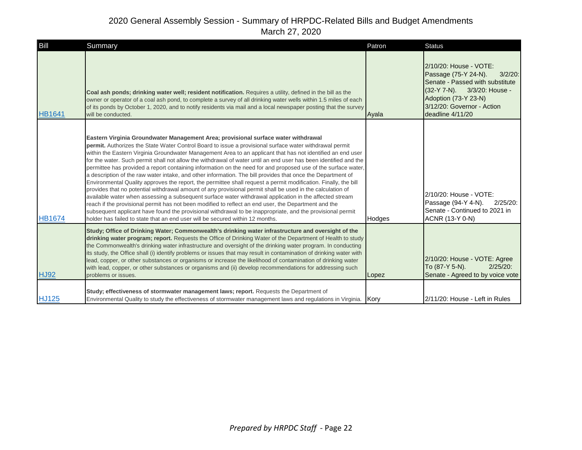| Bill          | Summary                                                                                                                                                                                                                                                                                                                                                                                                                                                                                                                                                                                                                                                                                                                                                                                                                                                                                                                                                                                                                                                                                                                                                                                                                                                                                                             | Patron | <b>Status</b>                                                                                                                                                                                            |
|---------------|---------------------------------------------------------------------------------------------------------------------------------------------------------------------------------------------------------------------------------------------------------------------------------------------------------------------------------------------------------------------------------------------------------------------------------------------------------------------------------------------------------------------------------------------------------------------------------------------------------------------------------------------------------------------------------------------------------------------------------------------------------------------------------------------------------------------------------------------------------------------------------------------------------------------------------------------------------------------------------------------------------------------------------------------------------------------------------------------------------------------------------------------------------------------------------------------------------------------------------------------------------------------------------------------------------------------|--------|----------------------------------------------------------------------------------------------------------------------------------------------------------------------------------------------------------|
| <b>HB1641</b> | Coal ash ponds; drinking water well; resident notification. Requires a utility, defined in the bill as the<br>owner or operator of a coal ash pond, to complete a survey of all drinking water wells within 1.5 miles of each<br>of its ponds by October 1, 2020, and to notify residents via mail and a local newspaper posting that the survey<br>will be conducted.                                                                                                                                                                                                                                                                                                                                                                                                                                                                                                                                                                                                                                                                                                                                                                                                                                                                                                                                              | Ayala  | 2/10/20: House - VOTE:<br>Passage (75-Y 24-N).<br>$3/2/20$ :<br>Senate - Passed with substitute<br>(32-Y 7-N). 3/3/20: House -<br>Adoption (73-Y 23-N)<br>3/12/20: Governor - Action<br>deadline 4/11/20 |
| <b>HB1674</b> | Eastern Virginia Groundwater Management Area; provisional surface water withdrawal<br>permit. Authorizes the State Water Control Board to issue a provisional surface water withdrawal permit<br>within the Eastern Virginia Groundwater Management Area to an applicant that has not identified an end user<br>for the water. Such permit shall not allow the withdrawal of water until an end user has been identified and the<br>permittee has provided a report containing information on the need for and proposed use of the surface water,<br>a description of the raw water intake, and other information. The bill provides that once the Department of<br>Environmental Quality approves the report, the permittee shall request a permit modification. Finally, the bill<br>provides that no potential withdrawal amount of any provisional permit shall be used in the calculation of<br>available water when assessing a subsequent surface water withdrawal application in the affected stream<br>reach if the provisional permit has not been modified to reflect an end user, the Department and the<br>subsequent applicant have found the provisional withdrawal to be inappropriate, and the provisional permit<br>holder has failed to state that an end user will be secured within 12 months. | Hodges | 2/10/20: House - VOTE:<br>Passage (94-Y 4-N).<br>$2/25/20$ :<br>Senate - Continued to 2021 in<br>ACNR (13-Y 0-N)                                                                                         |
| <b>HJ92</b>   | Study; Office of Drinking Water; Commonwealth's drinking water infrastructure and oversight of the<br>drinking water program; report. Requests the Office of Drinking Water of the Department of Health to study<br>the Commonwealth's drinking water infrastructure and oversight of the drinking water program. In conducting<br>its study, the Office shall (i) identify problems or issues that may result in contamination of drinking water with<br>lead, copper, or other substances or organisms or increase the likelihood of contamination of drinking water<br>with lead, copper, or other substances or organisms and (ii) develop recommendations for addressing such<br>problems or issues.                                                                                                                                                                                                                                                                                                                                                                                                                                                                                                                                                                                                           | Lopez  | 2/10/20: House - VOTE: Agree<br>To (87-Y 5-N).<br>$2/25/20$ :<br>Senate - Agreed to by voice vote                                                                                                        |
| <b>HJ125</b>  | Study; effectiveness of stormwater management laws; report. Requests the Department of<br>Environmental Quality to study the effectiveness of stormwater management laws and regulations in Virginia.                                                                                                                                                                                                                                                                                                                                                                                                                                                                                                                                                                                                                                                                                                                                                                                                                                                                                                                                                                                                                                                                                                               | Kory   | 2/11/20: House - Left in Rules                                                                                                                                                                           |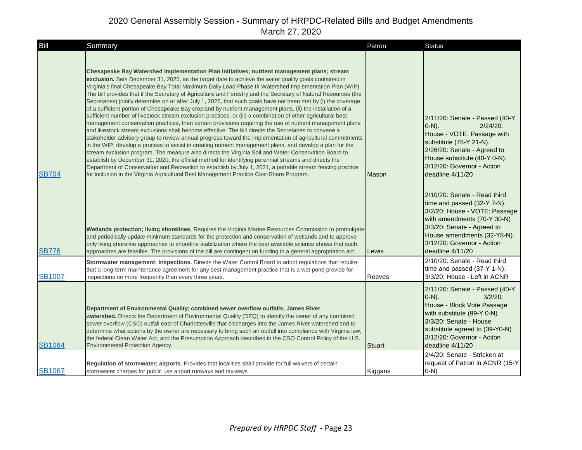| Bill          | Summary                                                                                                                                                                                                                                                                                                                                                                                                                                                                                                                                                                                                                                                                                                                                                                                                                                                                                                                                                                                                                                                                                                                                                                                                                                                                                                                                                                                                                                                                                                                                                                                                                                                        | Patron        | <b>Status</b>                                                                                                                                                                                                                              |
|---------------|----------------------------------------------------------------------------------------------------------------------------------------------------------------------------------------------------------------------------------------------------------------------------------------------------------------------------------------------------------------------------------------------------------------------------------------------------------------------------------------------------------------------------------------------------------------------------------------------------------------------------------------------------------------------------------------------------------------------------------------------------------------------------------------------------------------------------------------------------------------------------------------------------------------------------------------------------------------------------------------------------------------------------------------------------------------------------------------------------------------------------------------------------------------------------------------------------------------------------------------------------------------------------------------------------------------------------------------------------------------------------------------------------------------------------------------------------------------------------------------------------------------------------------------------------------------------------------------------------------------------------------------------------------------|---------------|--------------------------------------------------------------------------------------------------------------------------------------------------------------------------------------------------------------------------------------------|
| <b>SB704</b>  | Chesapeake Bay Watershed Implementation Plan initiatives; nutrient management plans; stream<br>exclusion. Sets December 31, 2025, as the target date to achieve the water quality goals contained in<br>Virginia's final Chesapeake Bay Total Maximum Daily Load Phase III Watershed Implementation Plan (WIP).<br>The bill provides that if the Secretary of Agriculture and Forestry and the Secretary of Natural Resources (the<br>Secretaries) jointly determine on or after July 1, 2026, that such goals have not been met by (i) the coverage<br>of a sufficient portion of Chesapeake Bay cropland by nutrient management plans, (ii) the installation of a<br>sufficient number of livestock stream exclusion practices, or (iii) a combination of other agricultural best<br>management conservation practices, then certain provisions requiring the use of nutrient management plans<br>and livestock stream exclusions shall become effective. The bill directs the Secretaries to convene a<br>stakeholder advisory group to review annual progress toward the implementation of agricultural commitments<br>in the WIP, develop a process to assist in creating nutrient management plans, and develop a plan for the<br>stream exclusion program. The measure also directs the Virginia Soil and Water Conservation Board to<br>establish by December 31, 2020, the official method for identifying perennial streams and directs the<br>Department of Conservation and Recreation to establish by July 1, 2021, a portable stream fencing practice<br>for inclusion in the Virginia Agricultural Best Management Practice Cost-Share Program. | Mason         | 2/11/20: Senate - Passed (40-Y<br>$(0-N)$ .<br>$2/24/20$ :<br>House - VOTE: Passage with<br>substitute (78-Y 21-N).<br>2/26/20: Senate - Agreed to<br>House substitute (40-Y 0-N).<br>3/12/20: Governor - Action<br>deadline 4/11/20       |
| <b>SB776</b>  | Wetlands protection; living shorelines. Requires the Virginia Marine Resources Commission to promulgate<br>and periodically update minimum standards for the protection and conservation of wetlands and to approve<br>only living shoreline approaches to shoreline stabilization where the best available science shows that such<br>approaches are feasible. The provisions of the bill are contingent on funding in a general appropriation act.                                                                                                                                                                                                                                                                                                                                                                                                                                                                                                                                                                                                                                                                                                                                                                                                                                                                                                                                                                                                                                                                                                                                                                                                           | Lewis         | 2/10/20: Senate - Read third<br>time and passed (32-Y 7-N).<br>3/2/20: House - VOTE: Passage<br>with amendments (70-Y 30-N)<br>3/3/20: Senate - Agreed to<br>House amendments (32-Y8-N).<br>3/12/20: Governor - Action<br>deadline 4/11/20 |
| <b>SB1007</b> | Stormwater management; inspections. Directs the Water Control Board to adopt regulations that require<br>that a long-term maintenance agreement for any best management practice that is a wet pond provide for<br>inspections no more frequently than every three years.                                                                                                                                                                                                                                                                                                                                                                                                                                                                                                                                                                                                                                                                                                                                                                                                                                                                                                                                                                                                                                                                                                                                                                                                                                                                                                                                                                                      | Reeves        | 2/10/20: Senate - Read third<br>time and passed (37-Y 1-N).<br>3/3/20: House - Left in ACNR                                                                                                                                                |
| <b>SB1064</b> | Department of Environmental Quality; combined sewer overflow outfalls; James River<br>watershed. Directs the Department of Environmental Quality (DEQ) to identify the owner of any combined<br>sewer overflow (CSO) outfall east of Charlottesville that discharges into the James River watershed and to<br>determine what actions by the owner are necessary to bring such an outfall into compliance with Virginia law,<br>the federal Clean Water Act, and the Presumption Approach described in the CSO Control Policy of the U.S.<br><b>Environmental Protection Agency.</b>                                                                                                                                                                                                                                                                                                                                                                                                                                                                                                                                                                                                                                                                                                                                                                                                                                                                                                                                                                                                                                                                            | <b>Stuart</b> | 2/11/20: Senate - Passed (40-Y<br>$O-N$ ).<br>$3/2/20$ :<br>House - Block Vote Passage<br>with substitute (99-Y 0-N)<br>3/3/20: Senate - House<br>substitute agreed to (39-Y0-N)<br>3/12/20: Governor - Action<br>deadline 4/11/20         |
| <b>SB1067</b> | Regulation of stormwater; airports. Provides that localities shall provide for full waivers of certain<br>stormwater charges for public use airport runways and taxiways                                                                                                                                                                                                                                                                                                                                                                                                                                                                                                                                                                                                                                                                                                                                                                                                                                                                                                                                                                                                                                                                                                                                                                                                                                                                                                                                                                                                                                                                                       | Kiggans       | 2/4/20: Senate - Stricken at<br>request of Patron in ACNR (15-Y<br>$0-N$ )                                                                                                                                                                 |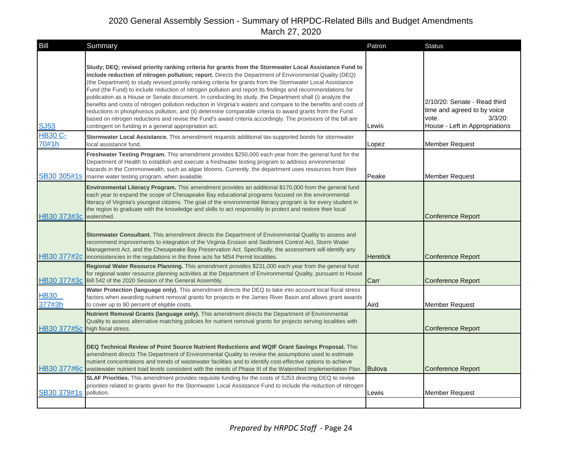| Bill                            | Summary                                                                                                                                                                                                                                                                                                                                                                                                                                                                                                                                                                                                                                                                                                                                                                                                                                                                                                                                                             | Patron          | <b>Status</b>                                                                                                        |
|---------------------------------|---------------------------------------------------------------------------------------------------------------------------------------------------------------------------------------------------------------------------------------------------------------------------------------------------------------------------------------------------------------------------------------------------------------------------------------------------------------------------------------------------------------------------------------------------------------------------------------------------------------------------------------------------------------------------------------------------------------------------------------------------------------------------------------------------------------------------------------------------------------------------------------------------------------------------------------------------------------------|-----------------|----------------------------------------------------------------------------------------------------------------------|
| <b>SJ53</b>                     | Study; DEQ; revised priority ranking criteria for grants from the Stormwater Local Assistance Fund to<br>include reduction of nitrogen pollution; report. Directs the Department of Environmental Quality (DEQ)<br>(the Department) to study revised priority ranking criteria for grants from the Stormwater Local Assistance<br>Fund (the Fund) to include reduction of nitrogen pollution and report its findings and recommendations for<br>publication as a House or Senate document. In conducting its study, the Department shall (i) analyze the<br>benefits and costs of nitrogen pollution reduction in Virginia's waters and compare to the benefits and costs of<br>reductions in phosphorous pollution, and (ii) determine comparable criteria to award grants from the Fund<br>based on nitrogen reductions and revise the Fund's award criteria accordingly. The provisions of the bill are<br>contingent on funding in a general appropriation act. | Lewis           | 2/10/20: Senate - Read third<br>time and agreed to by voice<br>$3/3/20$ :<br>vote.<br>House - Left in Appropriations |
| <b>HB30 C-</b><br>70#1h         | Stormwater Local Assistance. This amendment requests additional tax-supported bonds for stormwater<br>local assistance fund.                                                                                                                                                                                                                                                                                                                                                                                                                                                                                                                                                                                                                                                                                                                                                                                                                                        | Lopez           | <b>Member Request</b>                                                                                                |
|                                 | Freshwater Testing Program. This amendment provides \$250,000 each year from the general fund for the<br>Department of Health to establish and execute a freshwater testing program to address environmental<br>hazards in the Commonwealth, such as algae blooms. Currently, the department uses resources from their<br>SB30 305#1s marine water testing program, when available.                                                                                                                                                                                                                                                                                                                                                                                                                                                                                                                                                                                 | Peake           | <b>Member Request</b>                                                                                                |
| HB30 373#3c                     | Environmental Literacy Program. This amendment provides an additional \$170,000 from the general fund<br>each year to expand the scope of Chesapeake Bay educational programs focused on the environmental<br>literacy of Virginia's youngest citizens. The goal of the environmental literacy program is for every student in<br>the region to graduate with the knowledge and skills to act responsibly to protect and restore their local<br>watershed.                                                                                                                                                                                                                                                                                                                                                                                                                                                                                                          |                 | <b>Conference Report</b>                                                                                             |
|                                 | Stormwater Consultant. This amendment directs the Department of Environmental Quality to assess and<br>recommend improvements to integration of the Virginia Erosion and Sediment Control Act, Storm Water<br>Management Act, and the Chesapeake Bay Preservation Act. Specifically, the assessment will identify any<br>HB30 377#2c inconsistencies in the regulations in the three acts for MS4 Permit localities.                                                                                                                                                                                                                                                                                                                                                                                                                                                                                                                                                | <b>Heretick</b> | <b>Conference Report</b>                                                                                             |
|                                 | Regional Water Resource Planning. This amendment provides \$231,000 each year from the general fund<br>for regional water resource planning activities at the Department of Environmental Quality, pursuant to House<br>HB30 377#3c Bill 542 of the 2020 Session of the General Assembly.                                                                                                                                                                                                                                                                                                                                                                                                                                                                                                                                                                                                                                                                           | Carr            | <b>Conference Report</b>                                                                                             |
| <b>HB30</b><br>377#3h           | Water Protection (language only). This amendment directs the DEQ to take into account local fiscal stress<br>factors when awarding nutrient removal grants for projects in the James River Basin and allows grant awards<br>to cover up to 90 percent of eligible costs.                                                                                                                                                                                                                                                                                                                                                                                                                                                                                                                                                                                                                                                                                            | Aird            | <b>Member Request</b>                                                                                                |
| HB30 377#5c high fiscal stress. | Nutrient Removal Grants (language only). This amendment directs the Department of Environmental<br>Quality to assess alternative matching policies for nutrient removal grants for projects serving localities with                                                                                                                                                                                                                                                                                                                                                                                                                                                                                                                                                                                                                                                                                                                                                 |                 | <b>Conference Report</b>                                                                                             |
|                                 | DEQ Technical Review of Point Source Nutrient Reductions and WQIF Grant Savings Proposal. This<br>amendment directs The Department of Environmental Quality to review the assumptions used to estimate<br>nutrient concentrations and trends of wastewater facilities and to identify cost-effective options to achieve<br>HB30 377#6c wastewater nutrient load levels consistent with the needs of Phase III of the Watershed Implementation Plan.                                                                                                                                                                                                                                                                                                                                                                                                                                                                                                                 | <b>Bulova</b>   | <b>Conference Report</b>                                                                                             |
| SB30 379#1s                     | <b>SLAF Priorities.</b> This amendment provides requisite funding for the costs of SJ53 directing DEQ to revise<br>priorities related to grants given for the Stormwater Local Assistance Fund to include the reduction of nitrogen<br>pollution.                                                                                                                                                                                                                                                                                                                                                                                                                                                                                                                                                                                                                                                                                                                   | Lewis           | <b>Member Request</b>                                                                                                |
|                                 |                                                                                                                                                                                                                                                                                                                                                                                                                                                                                                                                                                                                                                                                                                                                                                                                                                                                                                                                                                     |                 |                                                                                                                      |